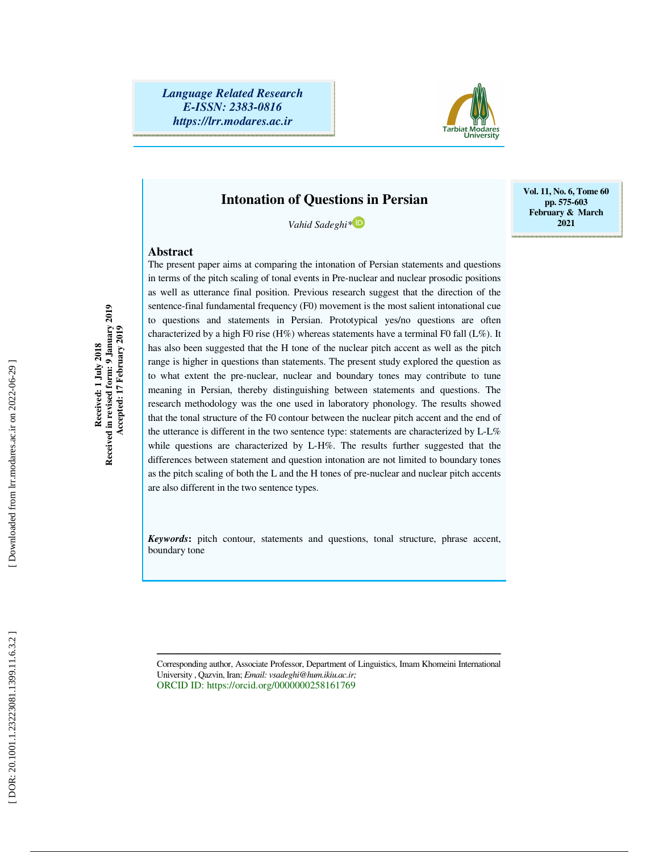

### **Intonation of Questions in Persian**

*Vahid Sadeghi\**

### **Abstract**

The present paper aims at comparing the intonation of Persian statements and questions in terms of the pitch scaling of tonal events in Pre-nuclear and nuclear prosodic positions as well as utterance final position. Previous research suggest that the direction of the sentence-final fundamental frequency (F0) movement is the most salient intonational cue to questions and statements in Persian. Prototypical yes/no questions are often characterized by a high F0 rise (H%) whereas statements have a terminal F0 fall  $(L\%)$ . It has also been suggested that the H tone of the nuclear pitch accent as well as the pitch range is higher in questions than statements. The present study explored the question as to what extent the pre-nuclear, nuclear and boundary tones may contribute to tune meaning in Persian, thereby distinguishing between statements and questions. The research methodology was the one used in laboratory phonology. The results showed that the tonal structure of the F0 contour between the nuclear pitch accent and the end of the utterance is different in the two sentence type: statements are characterized by L-L% while questions are characterized by L-H%. The results further suggested that the differences between statement and question intonation are not limited to boundary tones as the pitch scaling of both the L and the H tones of pre-nuclear and nuclear pitch accents are also different in the two sentence types.

*Keywords***:** pitch contour, statements and questions, tonal structure, phrase accent, boundary tone

Corresponding author, Associate Professor, Department of Linguistics, Imam Khomeini International University , Qazvin, Iran; *Email: vsadeghi@hum.ikiu.ac.ir;* ORCID ID: https://orcid.org/0000000258161769

ــــــــــــــــــــــــــــــــــــــــــــــــــــــــــــــــــــــــــــــــــــــــــــــــــــــــــــــــــــــــــــــــــــــــــ

**Received in revised form: 9 January 2019 Accepted: 17 February 2019** 

Received in revised form: 9 January 2019<br>Accepted: 17 February 2019

Downloaded from lrr.modares.ac.ir on 2022-06-29

**Vol. 11, No. 6, Tome 60 pp. 575-603 February & March 2021**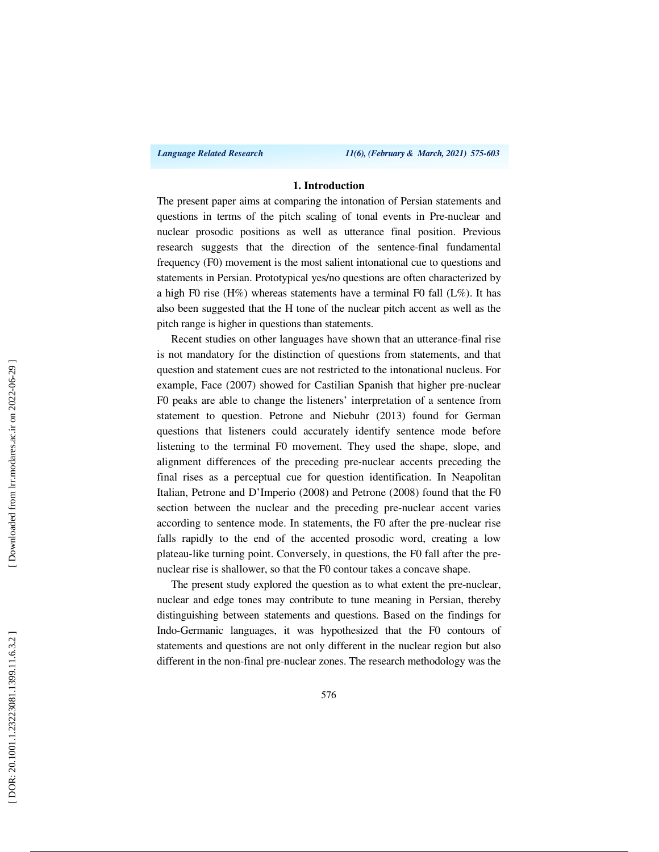*Language Related Research 11(6), (February & March, 2021) 575-603*

### **1. Introduction**

The present paper aims at comparing the intonation of Persian statements and questions in terms of the pitch scaling of tonal events in Pre-nuclear and nuclear prosodic positions as well as utterance final position. Previous research suggests that the direction of the sentence-final fundamental frequency (F0) movement is the most salient intonational cue to questions and statements in Persian. Prototypical yes/no questions are often characterized by a high F0 rise (H%) whereas statements have a terminal F0 fall (L%). It has also been suggested that the H tone of the nuclear pitch accent as well as the pitch range is higher in questions than statements.

Recent studies on other languages have shown that an utterance-final rise is not mandatory for the distinction of questions from statements, and that question and statement cues are not restricted to the intonational nucleus. For example, Face (2007) showed for Castilian Spanish that higher pre-nuclear F0 peaks are able to change the listeners' interpretation of a sentence from statement to question. Petrone and Niebuhr (2013) found for German questions that listeners could accurately identify sentence mode before listening to the terminal F0 movement. They used the shape, slope, and alignment differences of the preceding pre-nuclear accents preceding the final rises as a perceptual cue for question identification. In Neapolitan Italian, Petrone and D'Imperio (2008) and Petrone (2008) found that the F0 section between the nuclear and the preceding pre-nuclear accent varies according to sentence mode. In statements, the F0 after the pre-nuclear rise falls rapidly to the end of the accented prosodic word, creating a low plateau-like turning point. Conversely, in questions, the F0 fall after the prenuclear rise is shallower, so that the F0 contour takes a concave shape.

The present study explored the question as to what extent the pre-nuclear, nuclear and edge tones may contribute to tune meaning in Persian, thereby distinguishing between statements and questions. Based on the findings for Indo-Germanic languages, it was hypothesized that the F0 contours of statements and questions are not only different in the nuclear region but also different in the non-final pre-nuclear zones. The research methodology was the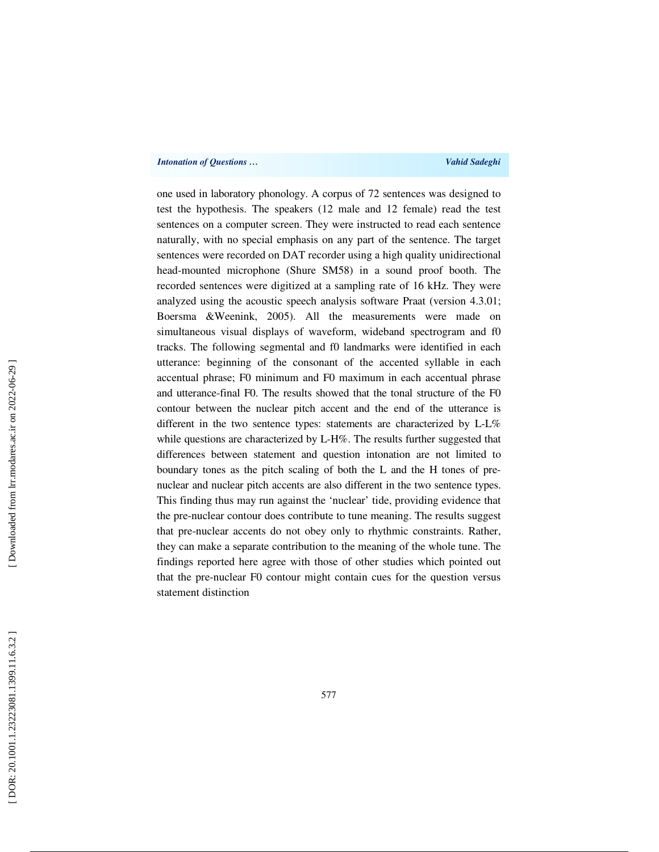one used in laboratory phonology. A corpus of 72 sentences was designed to test the hypothesis. The speakers (12 male and 12 female) read the test sentences on a computer screen. They were instructed to read each sentence naturally, with no special emphasis on any part of the sentence. The target sentences were recorded on DAT recorder using a high quality unidirectional head-mounted microphone (Shure SM58) in a sound proof booth. The recorded sentences were digitized at a sampling rate of 16 kHz. They were analyzed using the acoustic speech analysis software Praat (version 4.3.01; Boersma &Weenink, 2005). All the measurements were made on simultaneous visual displays of waveform, wideband spectrogram and f0 tracks. The following segmental and f0 landmarks were identified in each utterance: beginning of the consonant of the accented syllable in each accentual phrase; F0 minimum and F0 maximum in each accentual phrase and utterance-final F0. The results showed that the tonal structure of the F0 contour between the nuclear pitch accent and the end of the utterance is different in the two sentence types: statements are characterized by L-L% while questions are characterized by L-H%. The results further suggested that differences between statement and question intonation are not limited to boundary tones as the pitch scaling of both the L and the H tones of prenuclear and nuclear pitch accents are also different in the two sentence types. This finding thus may run against the 'nuclear' tide, providing evidence that the pre-nuclear contour does contribute to tune meaning. The results suggest that pre-nuclear accents do not obey only to rhythmic constraints. Rather, they can make a separate contribution to the meaning of the whole tune. The findings reported here agree with those of other studies which pointed out that the pre-nuclear F0 contour might contain cues for the question versus statement distinction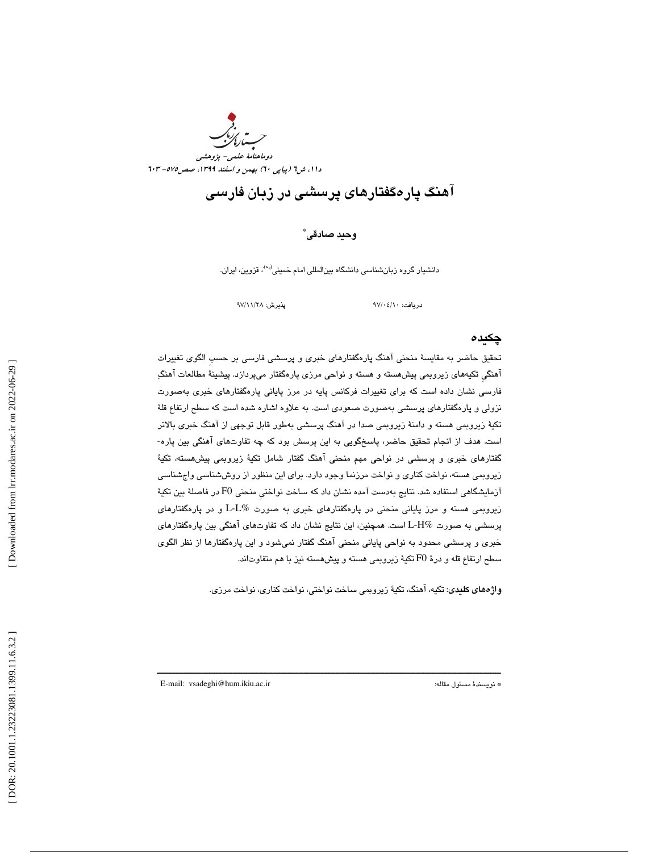

## آهنگ پارهگفتارهاي پرسشي در زبان فارسي

\* وحيد صادقي

دانشيار گروه زبانشناس*ي* دانشگاه بينالمللی امام خمينی<sup>(ره)</sup>، قزوين، ايران.

دريافت: 10/ 04/ 97 پذيرش: 28/ 11/ 97

### چكيده

تحقيق حاضر به مقايسة منحني آهنگ پارهگفتارهاي خبري و پرسشي فارسي بر حسبِ الگوي تغييرات آهنگيِ تكيههاي زيروبمي پيشهسته و هسته و نواحي مرزي پارهگفتار ميپردازد. پيشينة مطالعات آهنگ فارسي نشان داده است كه براي تغييرات فركانس پايه در مرز پاياني پارهگفتارهاي خبري بهصورت نزولي و پارهگفتارهاي پرسشي بهصورت صعودي است. به علاوه اشاره شده است كه سطح ارتفاع قلة تكية زيروبمي هسته و دامنة زيروبمي صدا در آهنگ پرسشي بهطور قابل توجهي از آهنگ خبري بالاتر است. هدف از انجام تحقيق حاضر ، پاسخگويي به اين پرسش بود كه چه تفاوتهاي آهنگي بين پاره- گفتارهای خبری و پرسشی در نواحی مهم منحنی اهنگ گفتار شامل تکیهٔ زیروبمی پیشهسته، تکیهٔ زيروبمي هسته، نواخت كناري و نواخت مرزنما وجود دارد. براي اين منظور از روششناسي واجشناسي آزمايشگاهي استفاده شد. نتايج بهدست آمده نشان داد كه ساخت نواختيِ منحني 0F در فاصلة بين تكية زيروبمي هسته و مرز پاياني منحني در پارهگفتارهاي خبري به صورت %L-L و در پارهگفتارهاي پرسشي به صورت %H-L است. همچنين، اين نتايج نشان داد كه تفاوتهاي آهنگي بين پارهگفتارهاي خبري و پرسشي محدود به نواحي پاياني منحني آهنگ گفتار نميشود و اين پارهگفتارها از نظر الگوي سطح ارتفاع قله و درهٔ F0 تکیهٔ زیروبمی هسته و پیشهسته نیز با هم متفاوتاند.

واژههاي كليدي: تكيه، آهنگ، تكية زيروبمي ساخت نواختي، نواخت كناري، نواخت مرزي .

ــــــــــــــــــــــــــــــــــــــــــــــــــــــــــــــــــــــــــــــــــــــــــــــــــــــــــــــــــــــــــــــــــــــــــ

E-mail: vsadeghi@hum.ikiu.ac.ir :مقاله مسئول نويسندة\*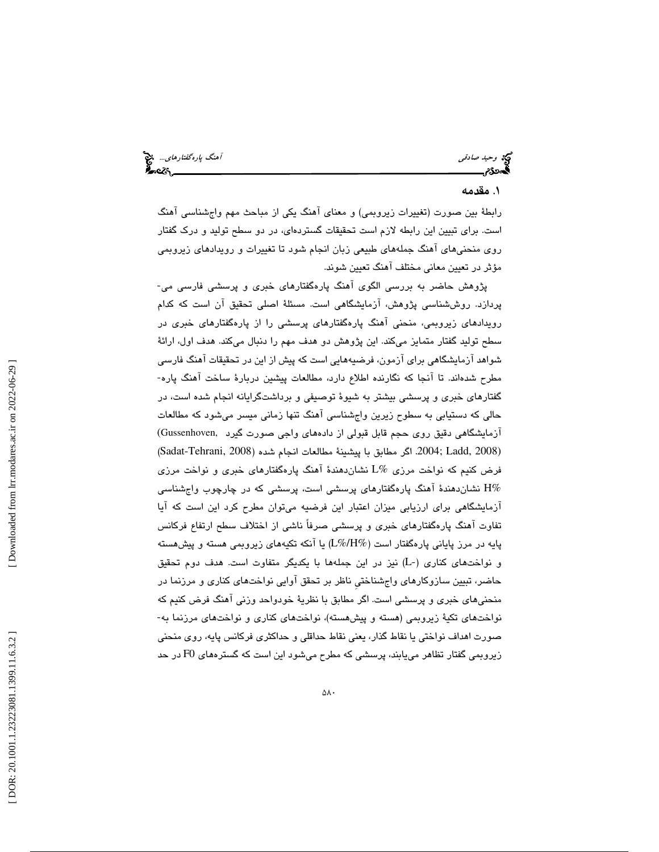وحيد صادقي آهنگ پارهگفتارهاي...

### 1. مقدمه

رابطهٔ بين صورت (تغييرات زيروبمي) و معناي آهنگ يكي از مباحث مهم واجشناسي آهنگ است. براي تبيين اين رابطه لازم است تحقيقات گستردهاي، در دو سطح توليد و درك گفتار روي منحنيهاي آهنگ جملههاي طبيعي زبان انجام شود تا تغييرات و رويدادهاي زيروبمي مؤثر در تعيين معاني مختلف آهنگ تعيين شوند .

پژوهش حاضر به بررسي الگوي آهنگ پارهگفتارهاي خبري و پرسشي فارسي مي- پردازد. روششناسي پژوهش ، آزمايشگاهي است. مسئلة اصلي تحقيق آن است كه كدام رويدادهاي زيروبمي، منحني آهنگ پارهگفتارهاي پرسشي را از پارهگفتارهاي خبري در سطح توليد گفتار متمايز ميكند. اين پژوهش دو هدف مهم را دنبال ميكند. هدف اول، ارائة شواهد ازمایشگاهی برای ازمون، فرضیههایی است که پیش از این در تحقیقات اهنگ فارسی مطرح شدهاند. تا آنجا كه نگارنده اطلاع دارد، مطالعات پيشين دربارة ساخت آهنگ پاره- گفتارهاي خبري و پرسشي بيشتر به شيوة توصيفي و برداشتگرايانه انجام شده است ، در حالی که دستیابی به سطوح زیرین واجشناسی آهنگ تنها زمانی میسر میشود که مطالعات<br>آزمایشگاهی دقیق روی حجم قابل قبولی از دادههای واجی صورت گیرد ,Gussenhoven (2008 ،Dadat-Tehrani, 2008) اگر مطابق با پیشینهٔ مطالعات انجام شده (2008 ,Sadat-Tehrani, فرض كنيم كه نواخت مرزي %L نشاندهند ة آهنگ پارهگفتارهاي خبري و نواخت مرزي نشاندهندهٔ آهنگ پارهگفتارهای پرسشی است، پرسشی كه در چارچوب واجشناسی  $\rm H\%$ آزمايشگاهي براي ارزيابي ميزان اعتبار اين فرضيه ميتوان مطرح كرد اين است كه آيا تفاوت آهنگ پارهگفتارهاي خبري و پرسشي صرفاً ناشي از اختلاف سطح ارتفاع فركانس پايه در مرز پاياني پارهگفتار است (%H%/L (يا آنكه تكيههاي زيروبمي هسته و پيشهسته و نواختهاي كناري (-L (نيز در اين جملهها با يكديگر متفاوت است. هدف دوم تحقيق حاضر ، تبيين سازوكارهاي واجشناختيِ ناظر بر تحقق آوايي نواختهاي كناري و مرزنما در منحنی۵ای خبری و پرسشی است. اگر مطابق با نظریهٔ خودواحد وزنی آهنگ فرض كنیم كه<br>نواختهای تكیهٔ زیروبمی (هسته و پیشهسته)، نواختهای كناری و نواختهای مرزنما به-صورت اهداف نواختي يا نقاط گذار، يعني نقاط حداقلي و حداكثري فركانس پايه، روي منحني زيروبمي گفتار تظاهر مييابند، پرسشي كه مطرح ميشود اين است كه گسترههاي 0F در حد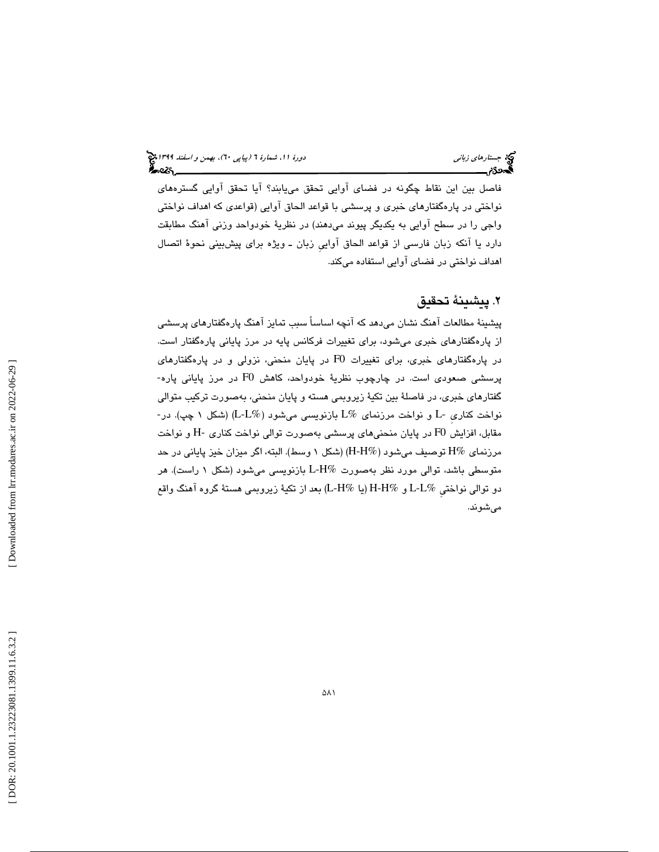فاصل بين اين نقاط چگونه در فضاي آوايي تحقق مييابند؟ آيا تحقق آوايي گسترههاي نواختي در پارهگفتارهاي خبري و پرسشي با قواعد الحاق آوايي (قواعدي كه اهداف نواختي واجي را در سطح آوايي به يكديگر پيوند ميدهند) در نظرية خودواحد وزني آهنگ مطابقت دارد يا آنكه زبان فارسي از قواعد الحاق آواييِ زبان ـ ويژه براي پيشبيني نحوة اتصال اهداف نواختي در فضاي آوايي استفاده ميكند.

### 2. پيشينة تحقيق

پيشينة مطالعات آهنگ نشان ميدهد كه آنچه اساساً سبب تمايز آهنگ پارهگفتارهاي پرسشي از پارهگفتارهاي خبري ميشود، براي تغييرات فركانس پايه در مرز پاياني پارهگفتار است. در پارهگفتارهای خبری، برای تغییرات F0 در پایان منحنی، نزولی و در پارهگفتارهای<br>پرسشی صعودی است. در چارچوب نظریهٔ خودواحد، کاهش F0 در مرز پایانی پاره-گفتارهاي خبري، در فاصلة بين تكية زيروبمي هسته و پايان منحني، بهصورت تركيب متوالي نواخت كناريِ -L و نواخت مرزنماي %L بازنويسي ميشود (%L-L) (شكل 1 چپ). در-  ${\rm H}$  مقابل، افزايش  ${\rm F}0$  در پايان منحنىهاى پرسشى بهصورت توالى نواخت كنارى - ${\rm H}$  و نواخت مرزنماي %H توصيف ميشود (%H-H) (شكل 1 وسط). البته ، اگر ميزان خيز پاياني در حد متوسطي باشد، توالي مورد نظر بهصورت %L-H بازنويسي ميشود (شكل ۱ راست). هر دو توالي نواختيِ %L-L و %H-H) يا %H-L (بعد از تكية زيروبمي هستة گروه آهنگ واقع ميشوند.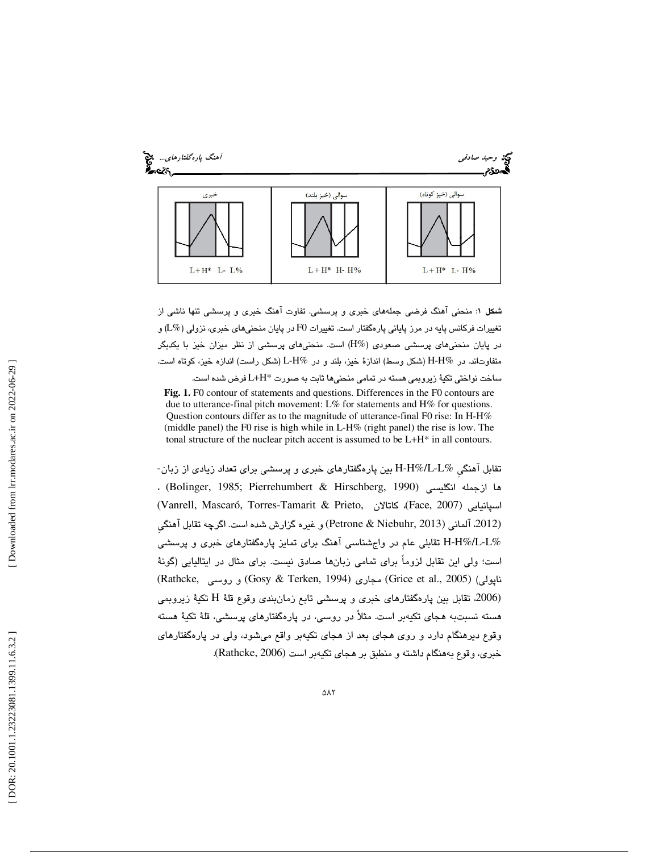

: منحني آهنگ فرضي جملههاي خبري و پرسشي. تفاوت آهنگ خبري و پرسشي تنها ناشي از شكل 1 تغييرات فركانس پايه در مرز پاياني پارهگفتار است. تغييرات F0 در پايان منحنيهاي خبري، نزولي (L%) و در پايان منحنيهاي پرسشي صعودي (%H (است. منحنيهاي پرسشي از نظر ميزان خيز با يكديگر ند. در %H-H) شكل وسط) اندازة خيز، بلند و در %H-L) شكل راست) اندازه خيز، كوتاه است. متفاوتا ساخت نواختي تكية زيروبمي هسته در تمامي منحنيها ثابت به صورت \*H+L فرض شده است.

**Fig. 1.** F0 contour of statements and questions. Differences in the F0 contours are due to utterance-final pitch movement: L% for statements and H% for questions. Question contours differ as to the magnitude of utterance-final F0 rise: In H-H% (middle panel) the F0 rise is high while in L-H% (right panel) the rise is low. The tonal structure of the nuclear pitch accent is assumed to be L+H\* in all contours.

تقابل آهنگيِ %L-L%/H-H بين پارهگفتارهاي خبري و پرسشي براي تعداد زيادي از زبان- ها ازجمله انگليسي (1990 , Bolinger, 1985; Pierrehumbert & Hirschberg, 1990) ، (Vanrell, Mascaró, Torres-Tamarit & Prieto, كاتالان ،)Face, 2007) اسپانيايي (2012، آلمانی (2013 Niebuhr, 2013) و غیره گزارش شده است. اگرچه تقابل آهنگی %L-L%/H-H تقابلي عام در واجشناسي آهنگ براي تمايز پارهگفتارهاي خبري و پرسشي است؛ ولي اين تقابل لزوماً براي تمامي زبانها صادق نيست. براي مثال در ايتاليايي (گونهٔ (Rathcke, روسي و) Gosy & Terken, 1994) مجاري) Grice et al., 2005) (ناپولي تكية زيروبمي (،2006 تقابل بين پارهگفتارهاي خبري و پرسشي تابع زمانبندي وقوع قلة H هسته نسبتبه هجاي تكيهبر است. مثلاً در روسي، در پارهگفتارهاي پرسشي، قلة تكية هسته وقوع ديرهنگام دارد و روي هجاي بعد از هجاي تكيهبر واقع ميشود ، ولي در پارهگفتارهاي خبري، وقوع بههنگام داشته و منطبق بر هجاي تكيهبر است (Rathcke, 2006).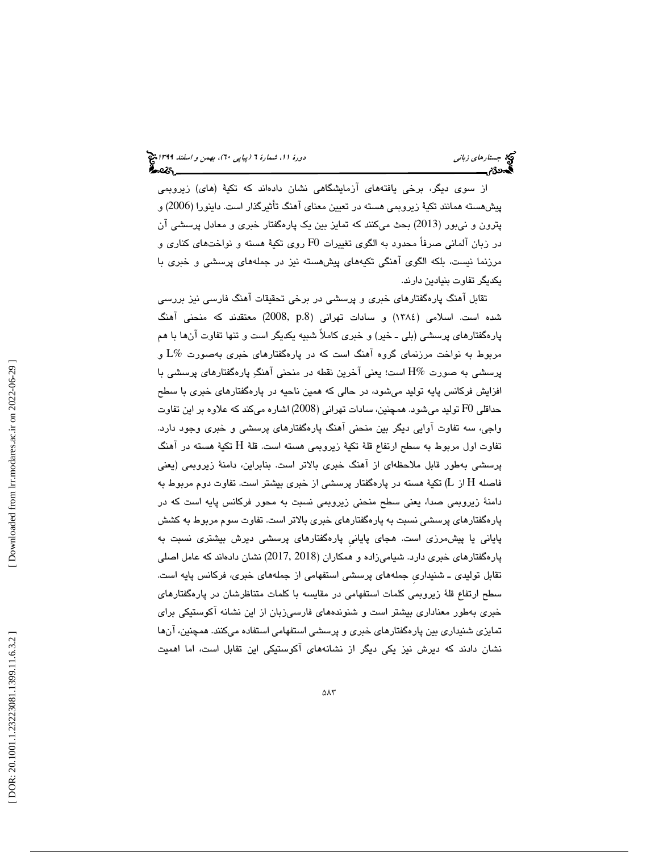از سوي ديگر، برخي يافتههاي آزمايشگاهي نشان دادهاند كه تكية (هاي) زيروبمي پيشهسته همانند تكية زيروبمي هسته در تعيين معناي آهنگ تأثيرگذار است. داينورا (2006) و پترون و نيبور (2013) بحث ميكنند كه تمايز بين يك پارهگفتار خبري و معادل پرسشي آن در زبان آلماني صرفاً محدود به الگوي تغييرات 0F روي تكية هسته و نواختهاي كناري و مرزنما نيست ، بلكه الگوي آهنگي تكيههاي پيشهسته نيز در جملههاي پرسشي و خبري با يكديگر تفاوت بنيادين دارند.

تقابل آهنگ پارهگفتارهاي خبري و پرسشي در برخي تحقيقات آهنگ فارسي نيز بررسي شده است. اسلامي (1384) و سادات تهراني (.8p 2008, (معتقدند كه منحني آهنگ پارهگفتارهاي پرسشي (بلي ـ خير) و خبري كاملاً شبيه يكديگر است و تنها تفاوت آنها با هم مربوط به نواخت مرزنماي گروه آهنگ است كه در پارهگفتارهاي خبري بهصورت %L و پرسشي به صورت %H است؛ يعني آخرين نقطه در منحني آهنگ پارهگفتارهاي پرسشي با افزايش فركانس پايه توليد مي شود، در حالي كه همين ناحيه در پارهگفتارهاي خبري با سطح حداقلي 0F توليد ميشود. همچنين، سادات تهراني (2008) اشاره ميكند كه علاوه بر اين تفاوت واجي، سه تفاوت آوايي ديگر بين منحني آهنگ پارهگفتارهاي پرسشي و خبري وجود دارد. تفاوت اول مربوط به سطح ارتفاع قلهٔ تكيهٔ زيروبمی هسته است. قلهٔ H تكيهٔ هسته در آهنگ پرسشي بهطور قابل ملاحظهاي از آهنگ خبري بالاتر است . بنابراين ، دامنة زيروبمي (يعني فاصله  $\rm H$  از  $\rm L$ ) تكيهٔ هسته در پارهگفتار پرسشي از خبري بيشتر است. تفاوت دوم مربوط به دامنة زيروبمي صدا، يعني سطح منحني زيروبمي نسبت به محور فركانس پايه است كه در پارهگفتارهاي پرسشي نسبت به پارهگفتارهاي خبري بالاتر است. تفاوت سوم مربوط به كشش پاياني يا پيشمرزي است. هجاي پايانيِ پارهگفتارهاي پرسشي ديرش بيشتري نسبت به پارهگفتارهاي خبري دارد. شياميزاده و همكاران (2013, 2018) نشان دادهاند كه عامل اصلي تقابل توليدي ـ شنيداريِ جملههاي پرسشي استفهامي از جملههاي خبري، فركانس پايه است. سطح ارتفاع قلة زيروبمي كلمات استفهامي در مقايسه با كلمات متناظرشان در پارهگفتارهاي خبري بهطور معناداري بيشتر است و شنوندههاي فارسيزبان از اين نشانه آكوستيكي براي تمايزي شنيداري بين پارهگفتارهاي خبري و پرسشي استفهامي استفاده ميكنند. همچنين، آنها نشان دادند كه ديرش نيز يكي ديگر از نشانههاي آكوستيكي اين تقابل است ، اما اهميت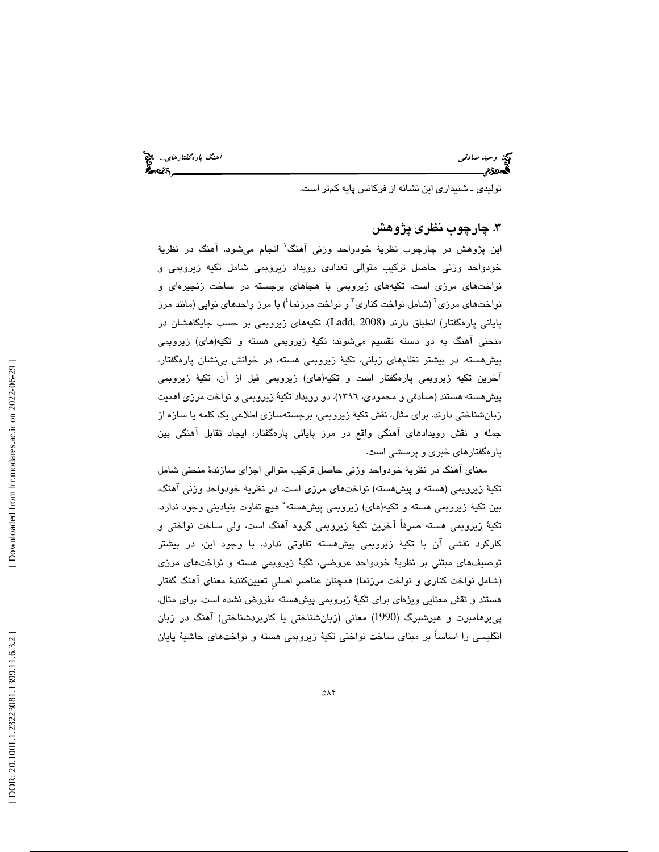وحيد صادقي آهنگ پارهگفتارهاي.... وحيد صادقي آهنگ پارهگفتارهاي... وحيد صادقي<br>**آه**ندي جمهوري آهنگي پارهگان پارهگان پارهگان پارهگان پارهگان پارهگان پارهگان پارهگان پارهگان پارهگان پارهگان پار<br>با با با با با با با با با با با

توليدي ـ شنيداري اين نشانه از فركانس پايه كمتر است.

### 3. چارچوب نظري پژوهش

اين پژوهش در چارچوب نظرية خودواحد وزني آهنگ 1 انجام ميشود. آهنگ در نظرية خودواحد وزني حاصل تركيب متوالي تعدادي رويداد زيروبمي شامل تكيه زيروبمي و نواختهاي مرزي است. تكيههاي زيروبمي با هجاهاي برجسته در ساخت زنجيرهاي و نواختهاي مرزي<sup>٬</sup> (شامل نواخت كناري<sup>٬</sup> و نواخت مرزنما<sup>؛</sup>) با مرز واحدهاي نوايي (مانند مرز پاياني پارهگفتار) انطباق دارند (2008 ,Ladd (. تكيههاي زيروبمي بر حسب جايگاهشان در منحني آهنگ به دو دسته تقسيم ميشوند: تكيهٔ زيروبمي هسته و تكيه(هاي) زيروبمي پيش هسته. در بيشتر نظامهاي زباني، تكيهٔ زيروبمي هسته، در خوانش بيiشان پارهگفتار، آخرين تكيه زيروبمي پارهگفتار است و تكيه(هاي) زيروبمي قبل از آن، تكية زيروبمي پیشهسته هستند (صادقی و محمودی، ١٣٩٦). دو رویداد تکیهٔ زیروبمی و نواخت مرزی اهمیت زبانشناختي دارند. براي مثال، نقش تكية زيروبمي، برجستهسازي اطلاعي يك كلمه يا سازه از جمله و نقش رويدادهاي آهنگي واقع در مرز پاياني پارهگفتار، ايجاد تقابل آهنگي بين پارهگفتارهاي خبري و پرسشي است.

معناي آهنگ در نظرية خودواحد وزني حاصل تركيب متوالي اجزاي سازندة منحني شامل تكية زيروبمي (هسته و پيشهسته) نواختهاي مرزي است. در نظرية خودواحد وزني آهنگ، بين تكية زيروبمي هسته و تكيه(هاي) زيروبمي پيشهسته 5 هيچ تفاوت بنياديني وجود ندارد. تكية زيروبمي هسته صرفاً آخرين تكية زيروبمي گروه آهنگ است ، ولي ساخت نواختي و كاركرد نقشي آن با تكية زيروبمي پيشهسته تفاوتي ندارد. با وجود اين، در بيشتر توصيفهاي مبتني بر نظرية خودواحد عروضي، تكية زيروبمي هسته و نواختهاي مرزي (شامل نواخت كناري و نواخت مرزنما) همچنان عناصر اصليِ تعيينكنندة معناي آهنگ گفتار هستند و نقش معنايي ويژهاي براي تكية زيروبمي پيشهسته مفروض نشده است. براي مثال، پييرهامبرت و هيرشبرگ (1990) معاني (زبانشناختي يا كاربردشناختي) آهنگ در زبان 1 انگليسي را اساساً بر مبناي ساخت نواختي تكية زيروبمي هسته و نواختهاي حاشية پايان

 [\[ DOR: 20.1001.1.23223081.1399.11.6.3.2](https://dorl.net/dor/20.1001.1.23223081.1399.11.6.3.2) ] [\[ Downloaded from lrr.modares.ac.ir on 20](https://lrr.modares.ac.ir/article-14-26582-fa.html)22-06-29 ] Downloaded from lrr.modares.ac.ir on 2022-06-29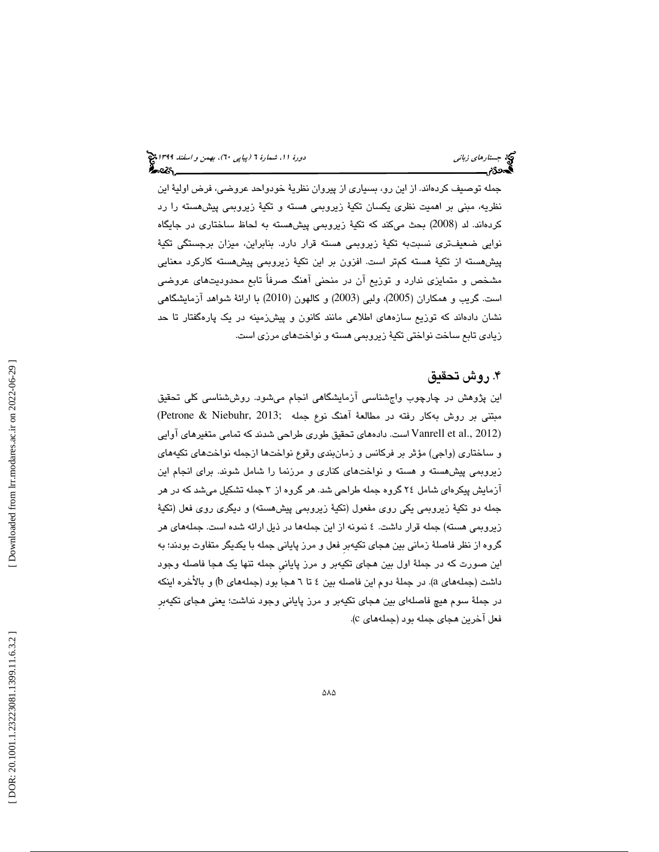جمله توصيف كردهاند. از اين رو، بسياري از پيروان نظرية خودواحد عروضي، فرض اولية اين نظريه ، مبني بر اهميت نظري يكسان تكية زيروبمي هسته و تكية زيروبمي پيشهسته را رد كردهاند. لد (2008) بحث ميكند كه تكية زيروبمي پيشهسته به لحاظ ساختاري در جايگاه نوايي ضعيفتري نسبتبه تكية زيروبمي هسته قرار دارد . بنابراين ، ميزان برجستگي تكية پيشهسته از تكية هسته كمتر است. افزون بر اين تكية زيروبمي پيشهسته كاركرد معنايي مشخص و متمايزي ندارد و توزيع آن در منحني آهنگ صرفاً تابع محدوديتهاي عروضي است. گريب و همكاران ( 2005)، ولبي (2003) و كالهون (2010) با ارائة شواهد آزمايشگاهي نشان دادهاند كه توزیع سازههای اطلاعی مانند كانون و پیشزمینه در یک پارهگفتار تا حد زيادي تابع ساخت نواختي تكية زيروبمي هسته و نواختهاي مرزي است.

### 4. روش تحقيق

اين پژوهش در چارچوب واجشناسي آزمايشگاهي انجام ميشود. روششناسي كلي تحقيق مبتني بر روش بهكار رفته در مطالعة آهنگ نوع جمله ;2013 ,Niebuhr & Petrone( (2012 .,al et Vanrell است. دادههاي تحقيق طوري طراحي شدند كه تمامي متغيرهاي آوايي و ساختاري (واجي) مؤثر بر فركانس و زمانبندي وقوع نواختها ازجمله نواختهاي تكيههاي زيروبمي پيشهسته و هسته و نواختهاي كناري و مرزنما را شامل شوند. براي انجام اين آزمايش پيكرهاي شامل 24 گروه جمله طراحي شد. هر گروه از 3 جمله تشكيل ميشد كه در هر جمله دو تكية زيروبمي يكي روي مفعول (تكية زيروبمي پيشهسته) و ديگري روي فعل (تكية زيروبمي هسته) جمله قرار داشت. 4 نمونه از اين جملهها در ذيل ارائه شده است. جملههاي هر گروه از نظر فاصلهٔ زماني بين هجاي تكيهبر فعل و مرز پاياني جمله با يكديگر متفاوت بودند؛ به اين صورت كه در جملة اول بين هجاي تكيهبر و مرز پايانيِ جمله تنها يك هجا فاصله وجود داشت (جملههای a). در جملهٔ دوم این فاصله بین ٤ تا ٦ هجا بود (جملههای b) و بالأخره اینکه در جملة سوم هيچ فاصلهاي بين هجاي تكيهبر و مرز پاياني وجود نداشت؛ يعني هجاي تكيهبرِ فعل آخرين هجا*ی* جمله بود (جملههای c).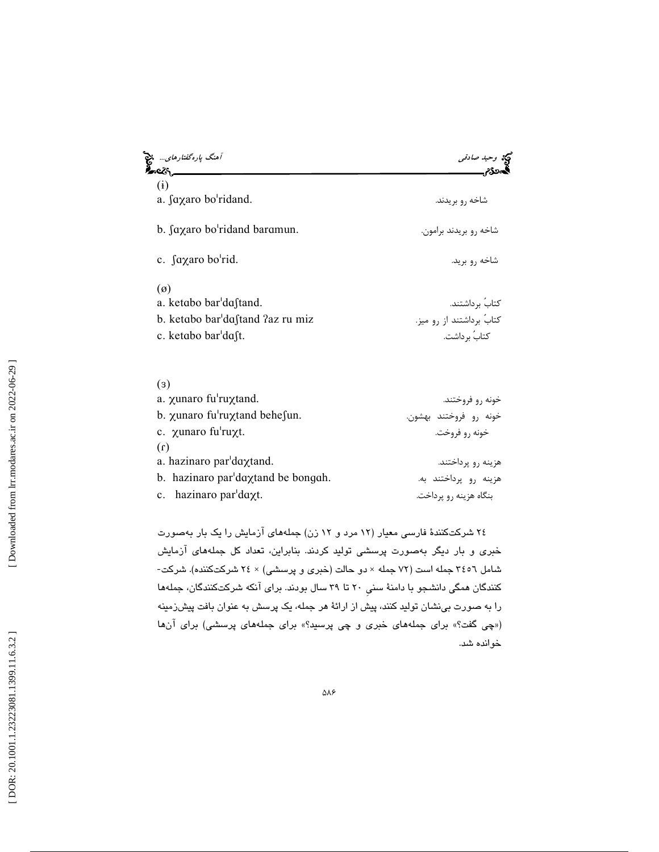| آهنگ پارهگفتارهای…                                    |                             |  |  |
|-------------------------------------------------------|-----------------------------|--|--|
| $\left( i\right)$<br>a. $\int a \chi a$ ro bo'ridand. | شاخه <sub>ر</sub> و بریدند. |  |  |
| b. faxaro bo'ridand baramun.                          | شاخه ٫و بریدند برامون.      |  |  |
| c. faxaro bo'rid.                                     | شاخه <sub>د</sub> و برید.   |  |  |
| $\varnothing$                                         |                             |  |  |
| a. ketabo bar'daftand.                                | كتابَ برداشتند.             |  |  |
| b. ketabo bar'dastand ?az ru miz                      | کتابُ برداشتند از رو میز.   |  |  |
| c. ketabo bar'dast.                                   | كتابُ برداشت.               |  |  |

| $\left( 3\right)$                          |                        |
|--------------------------------------------|------------------------|
| a. xunaro fu'ruxtand.                      | خونه ٫٫ فروختند.       |
| b. $\chi$ unaro fu'ru $\chi$ tand behesun. | خونه رو فروختند بهشون. |
| c. xunaro fu'ruxt.                         | خونه ٫و فروخت.         |
| (1)                                        |                        |
| a. hazinaro par'daxtand.                   | هزینه رو پرداختند.     |
| b. hazinaro par'daxtand be bongah.         | هزینه رو پرداختند به.  |
| c. hazinaro par $d$ axt.                   | بنگاه هزینه رو پرداخت. |

 24 شركتكنندة فارسي معيار ( 12 مرد و 12 زن) جملههاي آزمايش را يك بار بهصورت خبری و بار دیگر بهصورت پرسشی تولید کردند. بنابراین، تعداد کل جملههای آزمایش<br>شامل ۳٤٥٦ جمله است (۷۲ جمله × دو حالت (خبری و پرسشی) × ۲٤ شرکتکننده). شرکت-كنندگان همگي دانشجو با دامنة سنيِ 20 تا 39 سال بودند. براي آنكه شركتكنندگان، جملهها را به صورت بينشان توليد كنند، پيش از ارائة هر جمله، يك پرسش به عنوان بافت پيشزمينه («چی گفت؟» برای جملههای خبری و چی پرسید؟» برای جملههای پرسشی) برای انها خوانده شد.

[Downloaded from lrr.modares.ac.ir on 2022-06-29]  [\[ DOR: 20.1001.1.23223081.1399.11.6.3.2](https://dorl.net/dor/20.1001.1.23223081.1399.11.6.3.2) ] [\[ Downloaded from lrr.modares.ac.ir on 20](https://lrr.modares.ac.ir/article-14-26582-fa.html)22-06-29 ]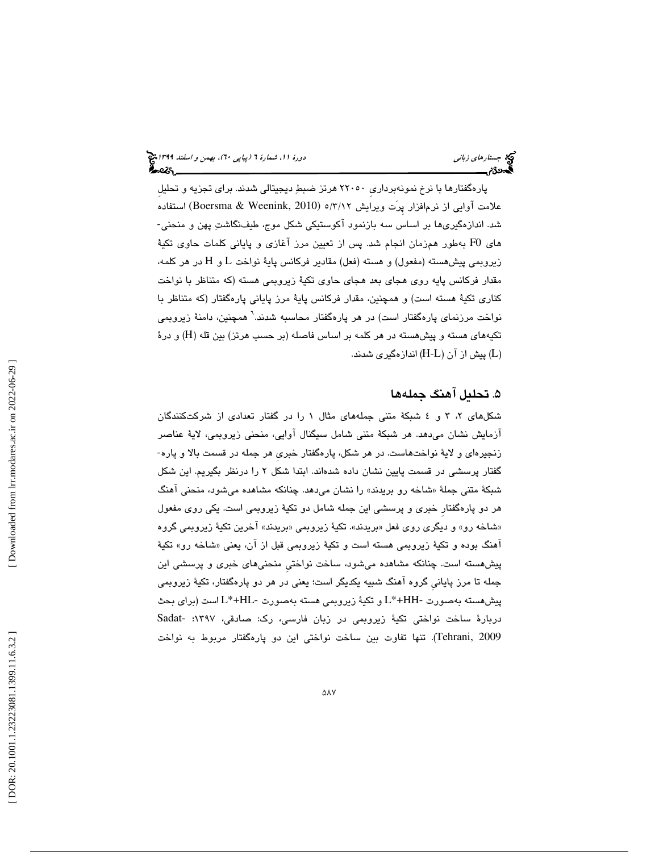پارهگفتارها با نرخ نمونهبرداريِ 22050 هرتز ضبط ديجيتالي شدند. براي تجزيه و تحليلِ علامت آوايي از نرم|فزار پِرَت ويرايش ۲/۲/۲/ه (Boersma & Weenink, 2010) استفاده<br>شد. اندازهگيري(ها بر اساس سه بازنمود آكوستيكي شكل موج، طيفـنگاشت پهن و منحني-هاي 0F به طور همزمان انجام شد. پس از تعيين مرز آغازي و پاياني كلمات حاوي تكية زيروبمي پيشهسته (مفعول) و هسته (فعل) مقادير فركانس پايهٔ نواخت L و H در هر كلمه، مقدار فركانس پايه روي هجاي بعد هجاي حاوي تكية زيروبمي هسته (كه متناظر با نواخت كناري تكية هسته است) و همچنين ، مقدار فركانس پاية مرز پاياني پارهگفتار (كه متناظر با نواخت مرزنماي پارهگفتار است) در هر پارهگفتار محاسبه شدند. 6 همچنين، دامنة زيروبمي تكيههای هسته و پيشهسته در هر كلمه بر اساس فاصله (بر حسب هرتز) بين قله (H) و درهٔ ) پيش از آن (L-H (اندازهگيري شدند. L )

### 5. تحليل آهنگ جمله ها

شكلهای ۲، ۳ و ٤ شبكهٔ متنی جملههای مثال ۱ را در گفتار تعدادی از شركتكنندگان آزمايش نشان مىدهد. هر شبكهٔ متنى شامل سيگنال آوايى، منحنى زيروبمى، لايهٔ عناصر<br>زنجيرهاى و لايهٔ نواختهاست. در هر شكل، پارهگفتار خبرى هر جمله در قسمت بالا و پاره-گفتار پرسشي در قسمت پايين نشان داده شدهاند. ابتدا شكل 2 را درنظر بگيريم. اين شكل شبكهٔ متنی جملهٔ «شاخه رو بریدند» را نشان میدهد. چنانكه مشاهده میشود، منحنی آهنگ هر دو پارهگفتارِ خبري و پرسشي اين جمله شامل دو تكية زيروبمي است. يكي روي مفعول «شاخه رو» و ديگري روي فعل «بريدند». تكيهٔ زيروبمي «بريدند» اخرين تكيهٔ زيروبمي گروه اهنگ بوده و تكيهٔ زيروبمي هسته است و تكيهٔ زيروبمي قبل از ان، يعني «شاخه رو» تكيهٔ پيشهسته است. چنانكه مشاهده ميشود ، ساخت نواختيِ منحنيهاي خبري و پرسشي اين جمله تا مرز پايانيِ گروه آهنگ شبيه يكديگر است؛ يعني در هر دو پارهگفتار، تكية زيروبمي پيشهسته بهصورت -HH+\*L و تكية زيروبمي هسته بهصورت -HL+\*L است (براي بحث دربارة ساخت نواختي تكية زيروبمي در زبان فارسي، رك: صادقي، 1397؛ -Sadat Tehrani, 2009). تنها تقاوت بين ساخت نواختي اين دو پارهگفتار مربوط به نواخت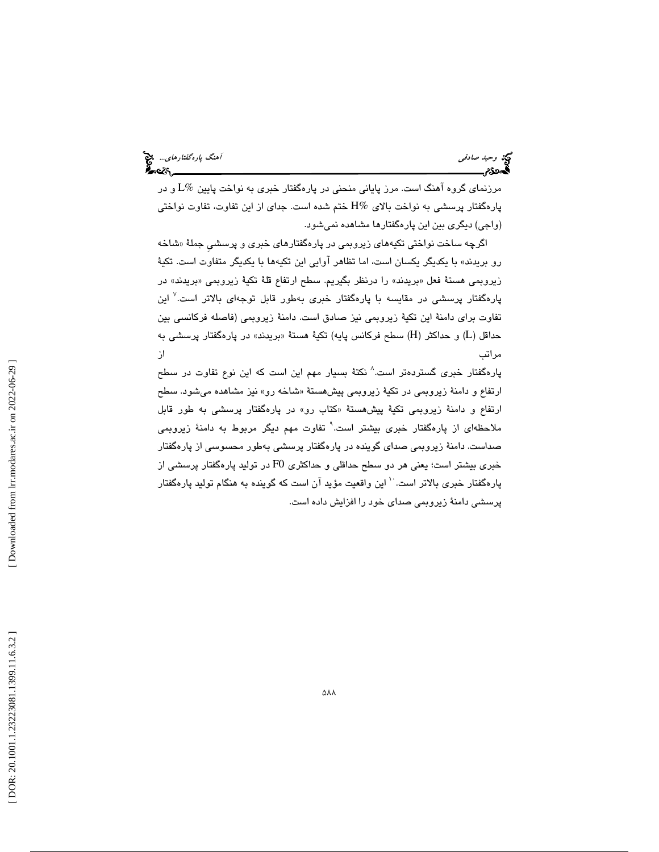مرزنماي گروه آهنگ است. مرز پاياني منحني در پارهگفتار خبري به نواخت پايين %L و در پارهگفتار پرسشي به نواخت بالاي %H ختم شده است. جداي از اين تفاوت، تفاوت نواختي (واجي) ديگري بين اين پارهگفتارها مشاهده نميشود.

گرچه ساخت نواختی تکیههای زیروبمی در پارهگفتارهای خبری و پرسشی جملهٔ «شاخه ا رو بريدند» با يكديگر يكسان است ، اما تظاهر آوايي اين تكيهها با يكديگر متفاوت است. تكية زيروبمي هستهٔ فعل «بريدند» را درنظر بگيريم. سطح ارتفاع قلهٔ تكيهٔ زيروبمي «بريدند» در پارهگفتار پرسشی در مقایسه با پارهگفتار خبری بهطور قابل توجهای بالاتر است.<sup>۷</sup> این تفاوت براي دامنة اين تكية زيروبمي نيز صادق است. دامنة زيروبمي (فاصله فركانسي بين حداقل (L) و حداكثر (H) سطح فركانس پايه) تكيهٔ هستهٔ «بريدند» در پارهگفتار پرسشى به مراتب از

پارهگفتار خبری گستردهتر است.^ نكتهٔ بسیار مهم این است كه این نوع تفاوت در سطح ارتفاع و دامنهٔ زیروبمی در تکیهٔ زیروبمی پیشهستهٔ «شاخه رو» نیز مشاهده میشود. سطح ارتفاع و دامنهٔ زیروبمی تکیهٔ پیشهستهٔ «کتاب رو» در پارهگفتار پرسشی به طور قابل ملاحظهای از پارهگفتار خبری بیشتر است.<sup>۹</sup> تفاوت مهم دیگر مربوط به دامنهٔ زیروبمی صداست. دامنة زيروبمي صداي گوينده در پارهگفتار پرسشي بهطور محسوسي از پارهگفتار خبري بيشتر است؛ يعني هر دو سطح حداقلي و حداكثري 0F در توليد پارهگفتار پرسشي از پارهگفتار خبري بالاتر است. <sup>` ۱</sup> اين واقعيت مؤيد آن است كه گوينده به هنگام توليد پارهگفتار پرسشي دامنة زيروبمي صداي خود را افزايش داده است.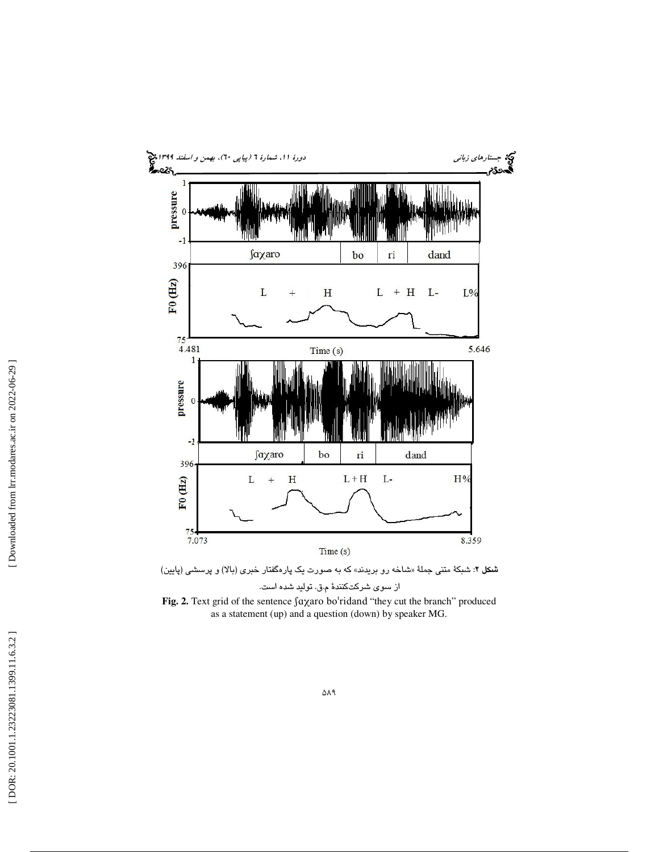

ش**کل ۲**: شبکهٔ متنی جملهٔ «شاخه رو بریدند» که به صورت یک پارهگفتار خبری (بالا) و پرسشی (پایین) از سوي شركتكنند ة م.ق. توليد شده است.

Fig. 2. Text grid of the sentence  $\int a \chi a$ ro bo'ridand "they cut the branch" produced as a statement (up) and a question (down) by speaker MG.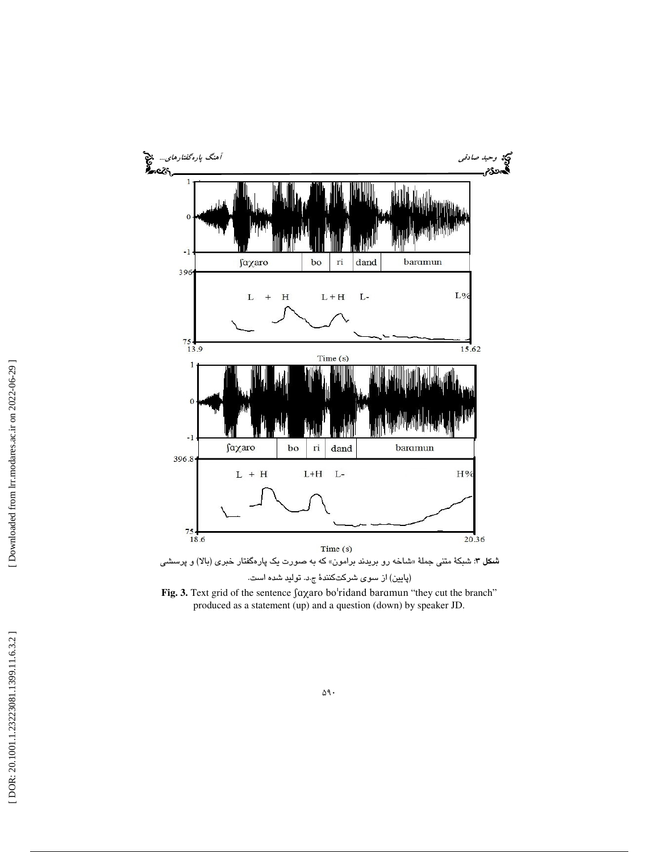

Fig. 3. Text grid of the sentence  $\int a \chi a$ ro bo'ridand baramun "they cut the branch" produced as a statement (up) and a question (down) by speaker JD.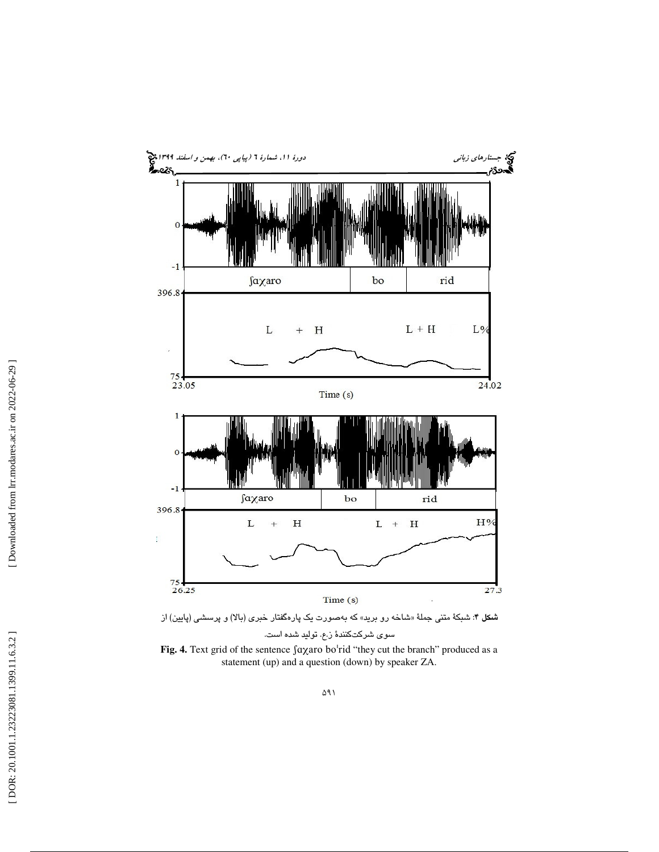



سوي شركتكنند ة ز.ع. توليد شده است.

Fig. 4. Text grid of the sentence  $\int a \chi a$ ro bo'rid "they cut the branch" produced as a statement (up) and a question (down) by speaker ZA.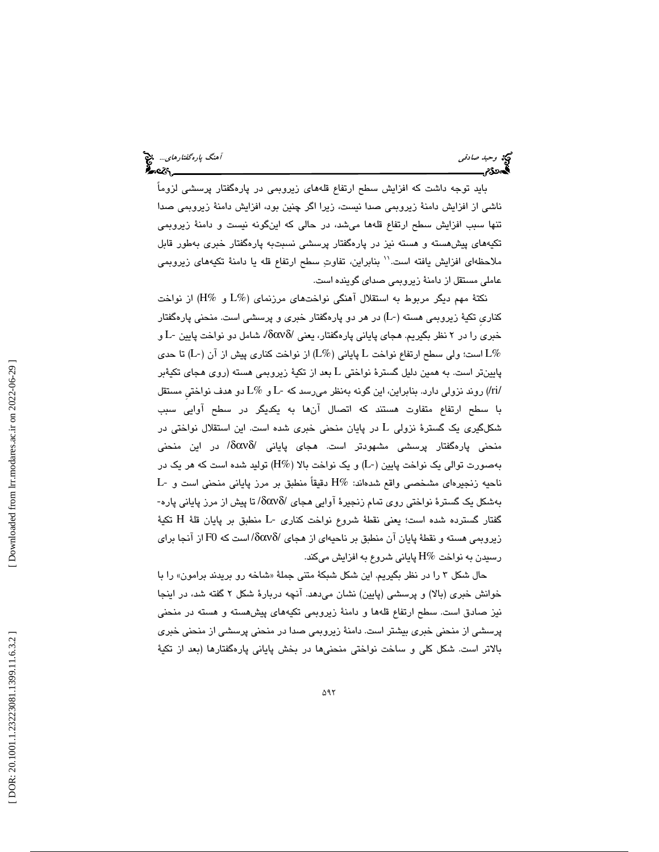بايد توجه داشت كه افزايش سطح ارتفاع قلههاي زيروبمي در پارهگفتار پرسشي لزوماً ناشي از افزايش دامنة زيروبمي صدا نيست ، زيرا اگر چنين بود، افزايش دامنة زيروبمي صدا تنها سبب افزايش سطح ارتفاع قلهها مي شد، در حالي كه اينگونه نيست و دامنهٔ زيروبمي تكيههاي پيشهسته و هسته نيز در پارهگفتار پرسشي نسبتبه پارهگفتار خبري بهطور قابل ملاحظهاي افزايش يافته است.'' بنابراين، تفاوت سطح ارتفاع قله يا دامنهٔ تكيههاي زيروبمي عاملي مستقل از دامنة زيروبمي صداي گوينده است.

نكتة مهم ديگر مربوط به استقلال آهنگي نواختهاي مرزنماي (%L و %H (از نواخت كناری تكيهٔ زيروبمی هسته (-L) در هر دو پارهگفتار خبری و پرسشی است. منحنی پارهگفتار خبری را در ۲ نظر بگیریم. هجای پایانی پارهگفتار، یعنی /δανδ/ شامل دو نواخت پایین -L و است؛ ولي سطح ارتفاع نواخت L پاياني (L%) از نواخت كناري پيش از آن (L-) تا حدي  $\mathrm{L} \%$ پايينتر است. به همين دليل گسترهٔ نواختی L بعد از تکيهٔ زيروبمی هسته (روی هجای تکيهٔبر /ri/ (روند نزولي دارد. بنابراين ، اين گونه بهنظر ميرسد كه -L و %L دو هدف نواختيِ مستقل با سطح ارتفاع متفاوت هستند كه اتصال آنها به يكديگر در سطح آوايي سبب شکلگیری یک گسترهٔ نزولی L در پایان منحنی خبری شده است. این استقلال نواختی در منحني پارهگفتار پرسشي مشهودتر است. هجاي پاياني /δανδ/ در اين منحني بهصورت توالي يك نواخت پايين (-L (و يك نواخت بالا (%H (توليد شده است كه هر يك در ناحيه زنجيرهاي مشخصي واقع شدهاند: %H دقيقاً منطبق بر مرز پاياني منحني است و -L بهشكل يك گسترة نواختي روي تمام زنجيرة آوايي هجاي /δανδ/ تا پيش از مرز پاياني پاره- تكية گفتار گسترده شده است؛ يعني نقطة شروع نواخت كناري -L منطبق بر پايان قلة H زيروبمي هسته و نقطة پايان آن منطبق بر ناحيهاي از هجاي /δανδ/ است كه 0F از آنجا براي رسيدن به نواخت %H پاياني شروع به افزايش ميكند.

حال شكل ۳ را در نظر بگيريم. اين شكل شبكهٔ متنی جملهٔ «شاخه رو بريدند برامون» را با خوانش خبري (بالا) و پرسشي (پايين) نشان ميدهد. آنچه دربارة شكل 2 گفته شد، در اينجا نيز صادق است. سطح ارتفاع قلهها و دامنة زيروبمي تكيههاي پيشهسته و هسته در منحني ز منحني خبري بيشتر است. دامنة زيروبمي صدا در منحني پرسشي از منحني خبري پرسشي ا بالاتر است. شكل كلي و ساخت نواختي منحنيها در بخش پاياني پارهگفتارها (بعد از تكية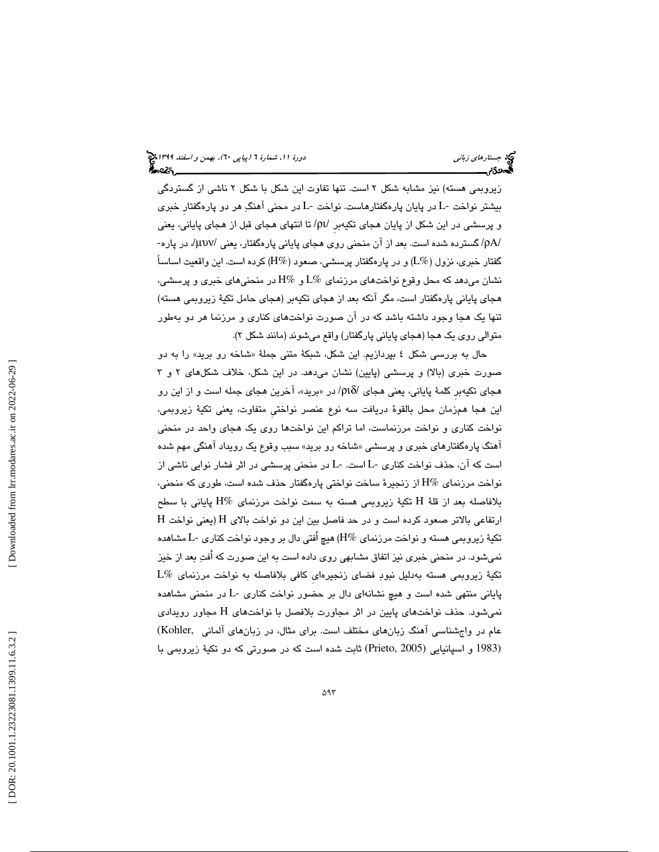زيروبمي هسته) نيز مشابه شكل 2 است. تنها تفاوت اين شكل با شكل 2 ناشي از گستردگي بيشتر نواخت -L در پايان پارهگفتارهاست. نواخت -L در محني آهنگ هر دو پارهگفتارِ خبري و پرسشي در اين شكل از پايان هجاي تكيهبرِ /ρι/ تا انتهاي هجاي قبل از هجاي پاياني، يعني /ρΑ/ گسترده شده است. بعد از آن منحني روي هجاي پاياني پارهگفتار، يعني /µυν،/ در پاره- گفتار خبري، نزول ( $\rm L\%$ ) و در پارهگفتار پرسشي، صعود ( $\rm H\%$ ) كرده است. اين واقعيت اساساً نشان ميدهد كه محل وقوع نواختهاي مرزنماي %L و %H در منحنيهاي خبري و پرسشي، هجاي پاياني پارهگفتار است، مگر آنكه بعد از هجاي تكيهبر (هجاي حامل تكية زيروبمي هسته) تنها يك هجا وجود داشته باشد كه در آن صورت نواختهاي كناري و مرزنما هر دو بهطور متوالي روي يك هجا (هجاي پاياني پارگفتار) واقع ميشوند (مانند شكل )2.

حال به بررسی شکل ٤ بپردازیم. این شکل، شبکهٔ متنی جملهٔ «شاخه رو برید» را به دو صورت خبري (بالا) و پرسشي (پايين) نشان ميدهد. در اين شكل، خلاف شكلهاي 2 3و هجای تکیهبر کلمهٔ پایانی، یعنی هجای /ριδ/ در «برید»، آخرین هجای جمله است و از این رو اين هجا همزمان محل بالقوة دريافت سه نوع عنصر نواختيِ متفاوت، يعني تكية زيروبمي، نواخت كناري و نواخت مرزنماست، اما تراكم اين نواختها روي يك هجاي واحد در منحني اهنگ پارهگفتارهای خبری و پرسشی «شاخه رو برید» سبب وقوع یک رویداد اهنگی مهم شده است كه آن، حذف نواخت كناري -L است. -L در منحني پرسشي در اثر فشار نوايي ناشي از نواخت مرزنماي %H از زنجيرة ساخت نواختي پارهگفتار حذف شده است ، طوري كه منحني، تكية زيروبمي هسته به سمت نواخت مرزنماي %H پاياني با سطح بلافاصله بعد از قلة H  ${\rm H}$  ارتفاعی بالاتر صعود کرده است و در حد فاصل بين اين دو نواخت بالای  ${\rm H}$  (يعنی نواخت تكية زيروبمي هسته و نواخت مرزنماي %H (هيچ اُفتي دال بر وجود نواخت كناري -L مشاهده نميشود. در منحني خبري نيز اتفاق مشابهي روي داده است به اين صورت كه اُفت بعد از خيز  $L\%$  تکیهٔ زیروبمی هسته بهدلیل نبودِ فضای زنجیرهای کافی بلافاصله به نواخت مرزنمای پاياني منتهي شده است و هيچ نشانهاي دال بر حضور نواخت كناري -L در منحني مشاهده نمیشود. حذف نواختهای پایین در اثر مجاورت بلافصل با نواختهای H مجاور رویدادی عام در واجشناسي آهنگ زبانهاي مختلف است. براي مثال، در زبانهاي آلماني ,Kohler( (1983 و اسپانيايي (2005 ,Prieto (ثابت شده است كه در صورتي كه دو تكية زيروبمي با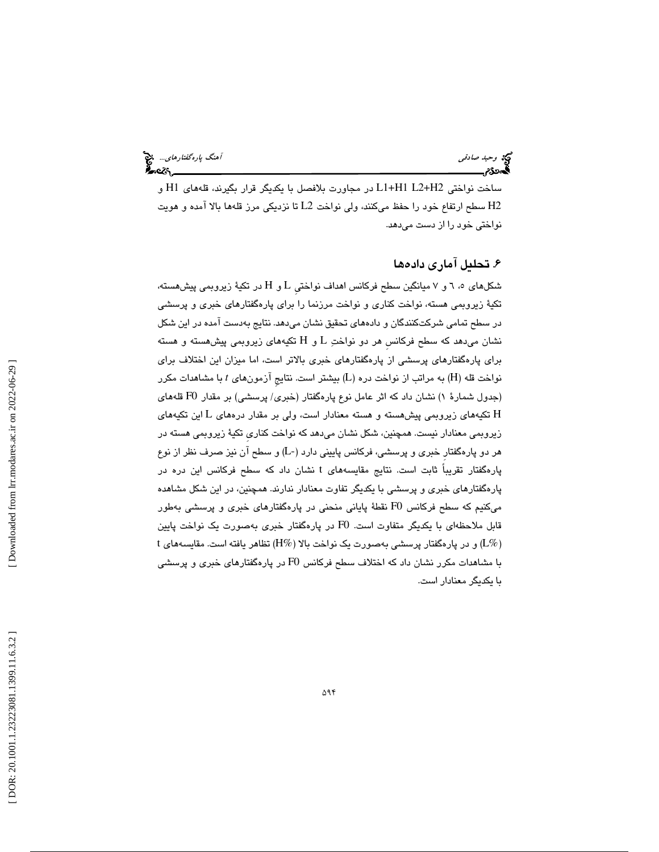# وحيد صادقي آهنگ پارهگفتارهاي... انتخاب است.<br>آهنگ پارهگفتارهاي آهنگ پارهگفت با آهنگ پارهگان پارهگان پارهگان پارهگفت با آهنگ پارهگفت با آهنگ پارهگان در این<br>آهنگان پارهگان پارهگان پارهگان پارهگان پارهگان پارهگان پارهگان پاره

ساخت نواختي 2H2+L 1H1+L در مجاورت بلافصل با يكديگر قرار بگيرند، قلههاي 1H و 2H سطح ارتفاع خود را حفظ ميكنند ، ولي نواخت 2L تا نزديكي مرز قلهها بالا آمده و هويت نواختي خود را از دست ميدهد.

### . 6 تحليل آماري داده ها

شکلهای ۰، ٦ و ۷ میانگین سطح فرکانس اهداف نواختی L و H در تکیهٔ زیروبمی پیشهسته، تكية زيروبمي هسته، نواخت كناري و نواخت مرزنما را براي پارهگفتارهاي خبري و پرسشي در سطح تمامي شركتكنندگان و دادههاي تحقيق نشان ميدهد. نتايج بهدست آمده در اين شكل نشان مى $\iota$ هد كه سطح فركانس هر دو نواختِ  ${\rm L}$  و  ${\rm H}$  تكيههاى زيروبمى پيشهسته و هسته براي پارهگفتارهاي پرسشي از پارهگفتارهاي خبري بالاتر است ، اما ميزان اين اختلاف براي نواخت قله (H) به مراتب از نواخت دره (L) بیشتر است. نتایج آزمونهای t با مشاهدات مکرر (جدول شمارة 1 ) نشان داد كه اثر عامل نوع پارهگفتار (خبري/ پرسشي) بر مقدار 0F قلههاي تکیههای زیروبمی پیشهسته و هسته معنادار است، ولی بر مقدار درههای L این تکیههای  $\, {\rm H}$ زيروبمي معنادار نيست. همچنين، شكل نشان ميدهد كه نواخت كناريِ تكية زيروبمي هسته در هر دو پارهگفتارِ خبري و پرسشي، فركانس پاييني دارد (-L ( و سطح آن نيز صرف نظر از نوع پارهگفتار تقریباً ثابت است. نتایج مقایسههای t نشان داد که سطح فرکانس این دره در پارهگفتارهاي خبري و پرسشي با يكديگر تفاوت معنادار ندارند. همچنين، در اين شكل مشاهده ميكنيم كه سطح فركانس 0F نقطة پاياني منحني در پارهگفتارهاي خبري و پرسشي بهطور قابل ملاحظهای با يکديگر متفاوت است. F0 در پارهگفتار خبری بهصورت يک نواخت پايين<br>(L%) و در پارهگفتار پرسشی بهصورت يک نواخت بالا (H%) نظاهر يافته است. مقايسههای t با مشاهدات مكرر نشان داد كه اختلاف سطح فركانس 0F در پارهگفتارهاي خبري و پرسشي با يكديگر معنادار است.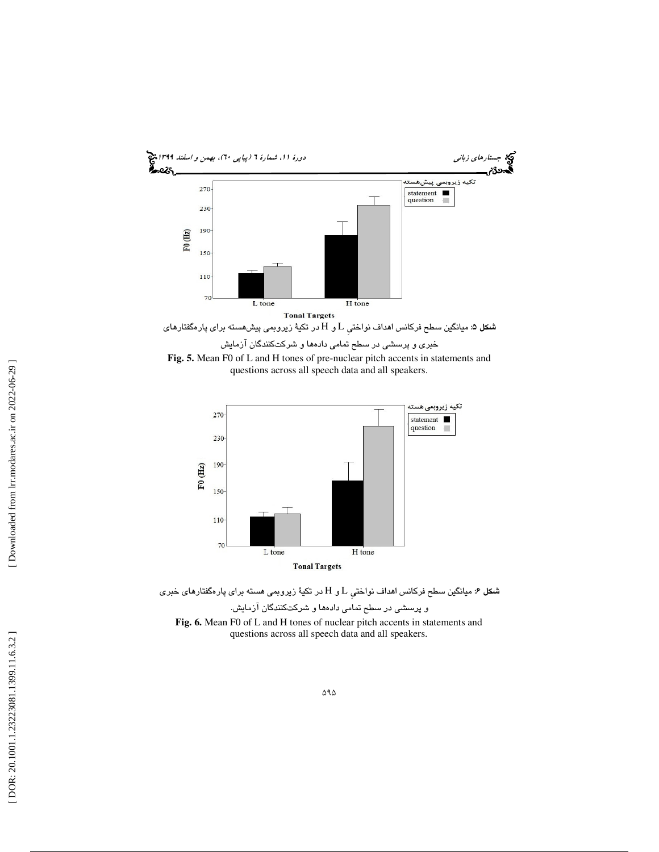

questions across all speech data and all speakers.



ش**كل ۶**: میانگین سطح فركانس اهداف نواختی L و H در تكیهٔ زیروبمی هسته برای پارهگفتارهای خبری و پرسشي در سطح تمامي دادهها و شركتكنندگان آزمايش. **Fig. 6.** Mean F0 of L and H tones of nuclear pitch accents in statements and questions across all speech data and all speakers.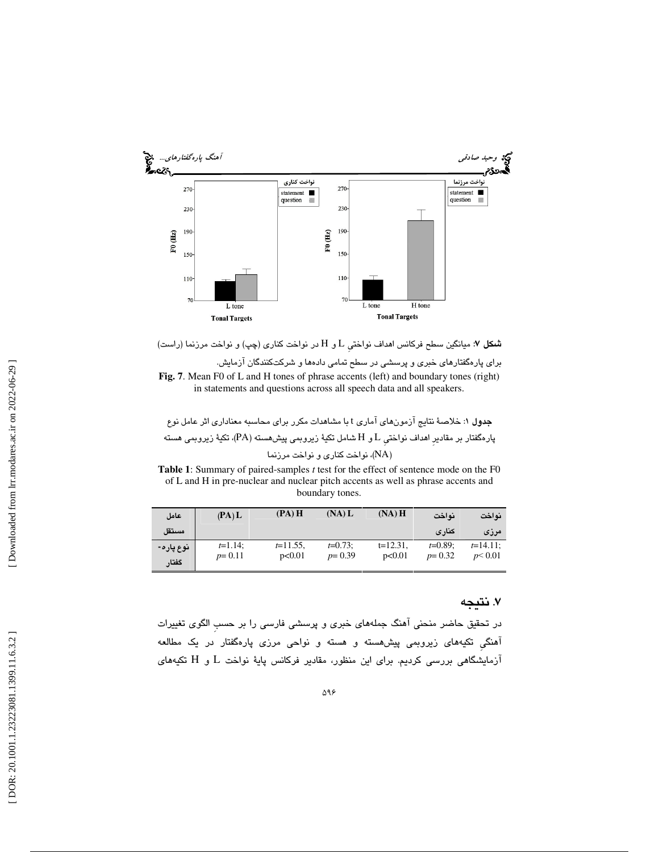



**Fig. 7**. Mean F0 of L and H tones of phrase accents (left) and boundary tones (right) in statements and questions across all speech data and all speakers.

جدول ۱: خلاصهٔ نتايج آزمونهاي آماري t با مشاهدات مكرر براي محاسبه معناداري اثر عامل نوع پارهگفتار بر مقادیر اهداف نواختی  $\rm{I}$  و  $\rm{H}$  شامل تکیهٔ زیروبمی پیشهسته (PA)، تکیهٔ زیروبمی هسته ، نواخت كناري و نواخت مرزنما (NA )

**Table 1**: Summary of paired-samples *t* test for the effect of sentence mode on the F0 of L and H in pre-nuclear and nuclear pitch accents as well as phrase accents and boundary tones.

| عامل               | (PA) L                   | (PA)H                 | (NA) L                 | $(NA)$ H              | نه اخت                 | نواخت                 |
|--------------------|--------------------------|-----------------------|------------------------|-----------------------|------------------------|-----------------------|
| مستقل              |                          |                       |                        |                       | كنارى                  | مرزى                  |
| نوع پاره-<br>گفتار | $t=1.14$ ;<br>$p = 0.11$ | $t=11.55$ ,<br>p<0.01 | $t=0.73$ :<br>$p=0.39$ | $t=12.31$ ,<br>p<0.01 | $t=0.89$ :<br>$p=0.32$ | $t=14.11$ :<br>p<0.01 |

### . 7 نتيجه

در تحقيق حاضر منحني آهنگ جملههاي خبري و پرسشي فارسي را بر حسبِ الگوي تغييرات آهنگيِ تكيههاي زيروبمي پيشهسته و هسته و نواحي مرزي پارهگفتار در يك مطالعه آزمايشگاهي بررسي كرديم. براي اين منظور، مقادير فركانس پايهٔ نواخت  ${\rm L}$  و  ${\rm H}$  تكيههای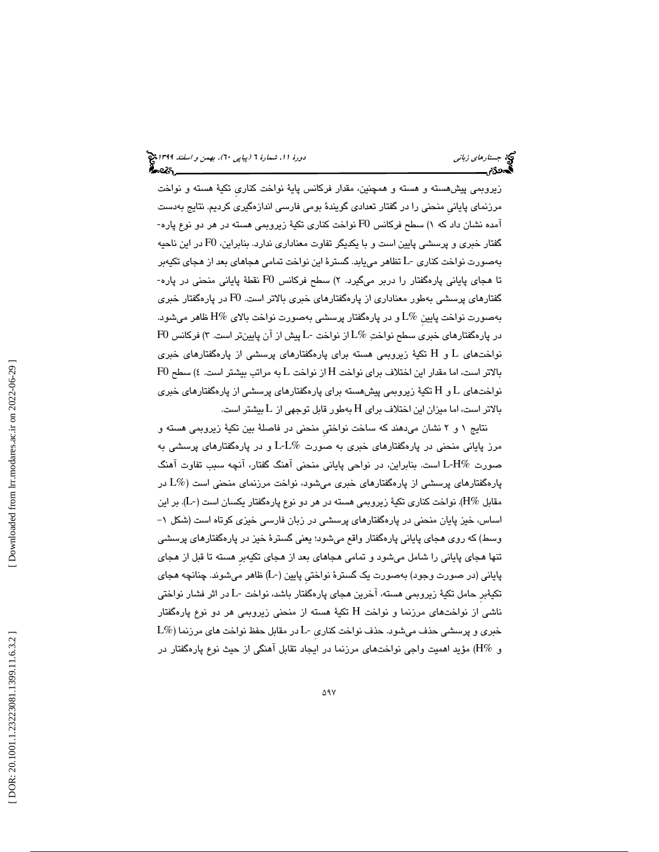زيروبمي پيشهسته و هسته و همچنين ، مقدار فركانس پاية نواخت كناريِ تكية هسته و نواخت مرزنماي پاياني منحني را در گفتار تعدادي گويندۀ بومي فارسي اندازهگيري كرديم. نتايج بهدست <code>FO</code> اُمده نشان داد كه ۱) سطح فركانس  ${\rm F}0$  نواخت كنارى تكيهٔ زيروبمي هسته در هر دو نوع پاره گفتار خبري و پرسشي پايين است و با يكديگر تفاوت معناداري ندارد. بنابراين، F0 در اين ناحيه بهصورت نواخت كناري -L تظاهر مييابد. گسترة اين نواخت تمامي هجاهاي بعد از هجاي تكيهبر تا هجای پایانی پارهگفتار را دربر میگیرد. ۲) سطح فرکانس F0 نقطهٔ پایانی منحنی در پاره-گفتارهاي پرسشي بهطور معناداري از پارهگفتارهاي خبري بالاتر است. 0F در پارهگفتار خبري بهصورت نواخت پايين  $L\%$ و در پارهگفتار پرسشي بهصورت نواخت بالاي  $\mathbb{H}\%$ ظاهر ميشود. در پارهگفتارهاي خبري سطح نواختِ  $L\%$ از نواخت -L پيش از آن پايينتر است. ۳) فركانس  $F$ 0  $\,$ نواخت $\,$ های  $\,$  ا و  $\,$   $\,$  تکیهٔ زیروبمی هسته برای پارهگفتارهای خبری  $\,$  ${\rm F0}$  بالاتر است، اما مقدار این اختلاف برای نواخت  ${\rm H}$  از نواخت  ${\rm L}$  به مراتب بیشتر است. ٤) سطح  $\,$ نواخت $\,$ ای  $\,$ ل و  $\,$  $\rm H$  تکیهٔ زیروبمی پیش $\,$ هسته برای پارهگفتارهای خبری  $\,$ بالاتر است، اما ميزان اين اختلاف براى H بەطور قابل توجهى از L بيشتر است.

نتايج 1 2و نشان ميدهند كه ساخت نواختيِ منحني در فاصلة بين تكية زيروبمي هسته و مرز پاياني منحني در پارهگفتارهاي خبري به صورت %L-L و در پارهگفتارهاي پرسشي به صورت %H-L است. بنابراين ، در نواحي پاياني منحني آهنگ گفتار، آنچه سبب تفاوت آهنگ پارهگفتارهاي پرسشي از پارهگفتارهاي خبري ميشود، نواخت مرزنماي منحني است (%L در مقابل  $\rm H\%$ . نواخت كناري تكيهٔ زيروبمي هسته در هر دو نوع پارهگفتار يكسان است (-L). بر اين اساس، خيز پايان منحني در پارهگفتارهاي پرسشي در زبان فارسي خيزي كوتاه است (شكل ١– وسط) كه روي هجاي پاياني پارهگفتار واقع ميشود؛ يعني گسترة خيز در پارهگفتارهاي پرسشي تنها هجاي پاياني را شامل ميشود و تمامي هجاهاي بعد از هجاي تكيهبرِ هسته تا قبل از هجاي پاياني (در صورت وجود) بهصورت يك گسترة نواختيِ پايين (-L (ظاهر ميشوند. چنانچه هجاي تكيةبرِ حامل تكية زيروبمي هسته، آخرين هجاي پارهگفتار باشد، نواخت -L در اثر فشار نواختي ناشي از نواختهای مرزنما و نواخت H تکيهٔ هسته از منحنی زيروبمی هر دو نوع پارهگفتار  $L\%$ خبری و پرسشی حذف میشود. حذف نواخت كناری -L در مقابل حفظ نواخت های مرزنما و %H (مؤيد اهميت واجي نواختهاي مرزنما در ايجاد تقابل آهنگي از حيث نوع پارهگفتار در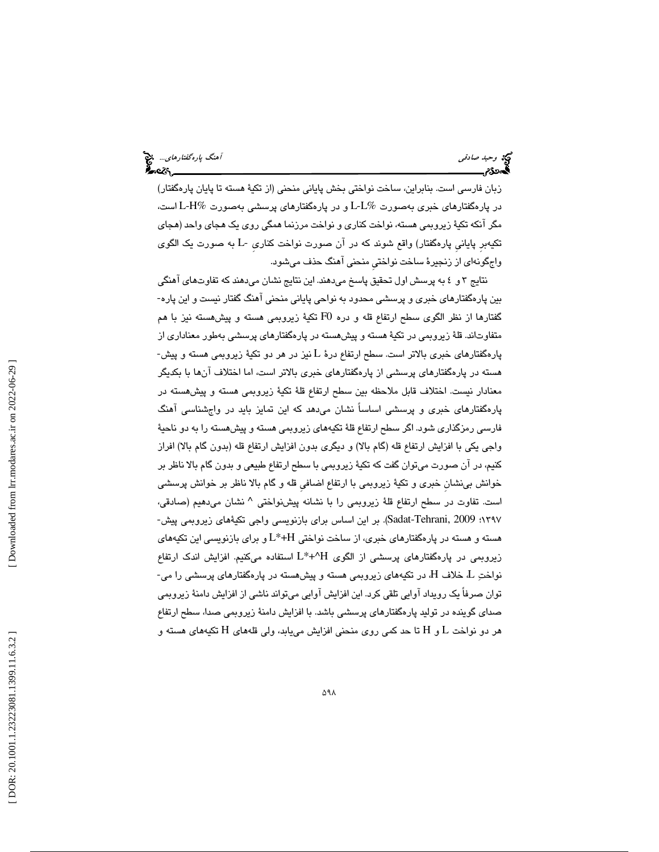زبان فارسي است. بنابراين ، ساخت نواختي بخش پاياني منحني (از تكية هسته تا پايان پارهگفتار) در پارهگفتارهاي خبري بهصورت  $L\%$  و در پارهگفتارهاي پرسشي بهصورت  $\rm L\text{-}H\%$  است، مگر آنكه تكية زيروبمي هسته، نواخت كناري و نواخت مرزنما همگي روي يك هجاي واحد (هجاي تكيهبرِ پايانيِ پارهگفتار) واقع شوند كه در آن صورت نواخت كناريِ -L به صورت يك الگوي واجگونهاي از زنجيرة ساخت نواختيِ منحني آهنگ حذف ميشود.

نتايج 4و 3 به پرسش اول تحقيق پاسخ ميدهند. اين نتايج نشان ميدهند كه تفاوتهاي آهنگي بين پارهگفتارهاي خبري و پرسشي محدود به نواحي پاياني منحني آهنگ گفتار نيست و اين پاره- گفتارها از نظر الگوی سطح ارتفاع قله و دره F0 تکیهٔ زیروبمی هسته و پیشهسته نیز با هم متفاوتاند. قلهٔ زیروبمی در تکیهٔ هسته و پیشهسته در پارهگفتارهای پرسشی بهطور معناداری از پارهگفتارهای خبری بالاتر است. سطح ارتفاع درهٔ L نیز در هر دو تکیهٔ زیروبمی هسته و پیش-هسته در پارهگفتارهاي پرسشي از پارهگفتارهاي خبري بالاتر است ، اما اختلاف آنها با بكديگر معنادار نيست. اختلاف قابل ملاحظه بين سطح ارتفاع قلة تكية زيروبمي هسته و پيشهسته در پارهگفتارهاي خبري و پرسشي اساساً نشان ميدهد كه اين تمايز بايد در واجشناسي آهنگ فارسي رمزگذاري شود. اگر سطح ارتفاع قلة تكيههاي زيروبمي هسته و پيشهسته را به دو ناحية واجي يكي با افزايش ارتفاع قله (گام بالا) و ديگري بدون افزايش ارتفاع قله (بدون گام بالا) افراز كنيم، در آن صورت ميتوان گفت كه تكية زيروبمي با سطح ارتفاع طبيعي و بدون گام بالا ناظر بر خوانش بينشانِ خبري و تكية زيروبمي با ارتفاع اضافيِ قله و گام بالا ناظر بر خوانش پرسشي ست. تفاوت در سطح ارتفاع قلهٔ زیروبمی را با نشانه پیشنواختی ^ نشان میدهیم (صادقی، ا 1397؛ 2009 ,Tehrani-Sadat(. بر اين اساس براي بازنويسي واجي تكيةهاي زيروبمي پيش- هسته و هسته در پارهگفتارهاي خبري، از ساخت نواختي H+\*L و براي بازنويسي اين تكيههاي زيروبمي در پارهگفتارهاي پرسشي از الگوي H^+\*L استفاده ميكنيم. افزايش اندك ارتفاع نواختِ  $L$  خلاف  $H$ ، در تکیههای زیروبمی هسته و پیشهسته در پارهگفتارهای پرسشی را می-توان صرفاً يك رويداد آوايي تلقي كرد. اين افزايش آوايي ميتواند ناشي از افزايش دامنة زيروبمي صداي گوينده در توليد پارهگفتارهاي پرسشي باشد. با افزايش دامنة زيروبمي صدا، سطح ارتفاع هر دو نواخت L و H تا حد كمي روى منحنى افزايش مىيابد، ولي قلههاى H تكيههاى هسته و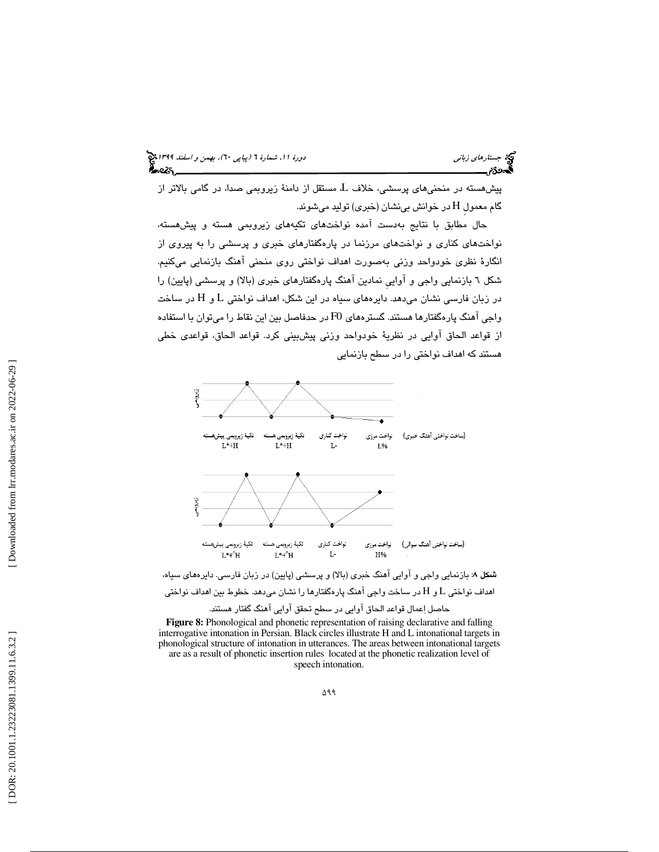پيشهسته در منحنيهاي پرسشي، خلاف L، مستقل از دامنة زيروبمي صدا، در گامي بالاتر از گام معمول H در خوانش بینشان (خبری) تولید میشوند.

حال مطابق با نتايج بهدست آمده نواختهاي تكيههاي زيروبمي هسته و پيشهسته، نواختهاي كناري و نواختهاي مرزنما در پارهگفتارهاي خبري و پرسشي را به پيروي از انگارة نظري خودواحد وزني بهصورت اهداف نواختي روي منحني آهنگ بازنمايي ميكنيم. شكل 6 بازنمايي واجي و آواييِ نمادين آهنگ پارهگفتارهاي خبري (بالا) و پرسشي (پايين) را در زبان فارسی نشان میدهد. دایرههای سیاه در این شکل، اهداف نواختی L و H در ساخت واجي آهنگ پارهگفتارها هستند. گسترههاي 0F در حدفاصل بين اين نقاط را ميتوان با استفاده از قواعد الحاق آوايي در نظرية خودواحد وزني پيشبيني كرد. قواعد الحاق، قواعدي خطي هستند كه اهداف نواختي را در سطح بازنمايي



حاصل اعمال قواعد الحاق آوايي در سطح تحقق آوايي آهنگ گفتار هستند.

**Figure 8:** Phonological and phonetic representation of raising declarative and falling interrogative intonation in Persian. Black circles illustrate H and L intonational targets in phonological structure of intonation in utterances. The areas between intonational targets are as a result of phonetic insertion rules located at the phonetic realization level of speech intonation.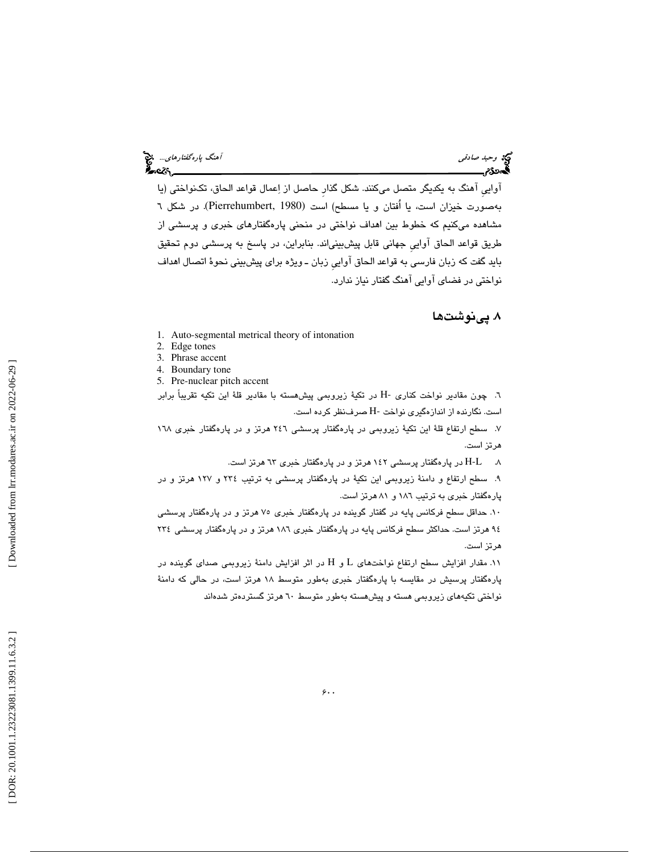وكه وحي*د صادقي آهنگ پارهگفتارهاي...*. چ<mark>خ</mark><br>آهنگ پارهگفتارهاي...<br>**آه**نگلارگان پارهگان پارهگان پارهگان پارهگان پارهگان پارهگان پارهگان پارهگان پارهگان پارهگان پارهگان پارهگان پار

آواييِ آهنگ به يكديگر متصل ميكنند. شكل گذارِ حاصل از اعمال قواعد الحاق، تكنواختي (يا بهصورت خيزان است، يا اُفتان و يا مسطح) است (1980 ,Pierrehumbert(. در شكل 6 مشاهده ميكنيم كه خطوط بين اهداف نواختي در منحني پارهگفتارهاي خبري و پرسشي از طريق قواعد الحاق آواييِ جهاني قابل پيشبينياند. بنابراين ، در پاسخ به پرسشي دوم تحقيق بايد گفت كه زبان فارسي به قواعد الحاق آواييِ زبان ـ ويژه براي پيشبيني نحوة اتصال اهداف نواختي در فضاي آوايي آهنگ گفتار نياز ندارد.

### . پينوشتها 8

- 1. Auto-segmental metrical theory of intonation
- 2. Edge tones
- 3. Phrase accent
- 4. Boundary tone
- 5. Pre-nuclear pitch accent

6. چون مقادير نواخت كناري -H در تكية زيروبمي پيشهسته با مقادير قلة اين تكيه تقريباً برابر است . نگارنده از اندازهگيري نواخت -H صرفنظر كرده است.

7. سطح ارتفاع قلة اين تكية زيروبمي در پارهگفتار پرسشي 246 هرتز و در پارهگفتار خبري 168 هرتز است.

8. L-H در پارهگفتار پرسشي 142 هرتز و در پارهگفتار خبري 63 هرتز است.

9. سطح ارتفاع و دامنة زيروبمي اين تكية در پارهگفتار پرسشي به ترتيب 234 و 127 هرتز و در پارهگفتار خبري به ترتيب 186 و 81 هرتز است.

10. حداقل سطح فركانس پايه در گفتار گوينده در پارهگفتار خبري 75 هرتز و در پارهگفتار پرسشي 94 هرتز است. حداكثر سطح فركانس پايه در پارهگفتار خبري 186 هرتز و در پارهگفتار پرسشي 234 هرتز است.

۰۱۱. مقدار افزايش سطح ارتفاع نواختهاى L و H در اثر افزايش دامنهٔ زيروبمي صداى گوينده در پارهگفتار پرسيش در مقايسه با پارهگفتار خبري بهطور متوسط 18 هرتز است، در حالي كه دامنة نواختي تكيههاي زيروبمي هسته و پيشهسته بهطور متوسط 60 هرتز گستردهتر شدهاند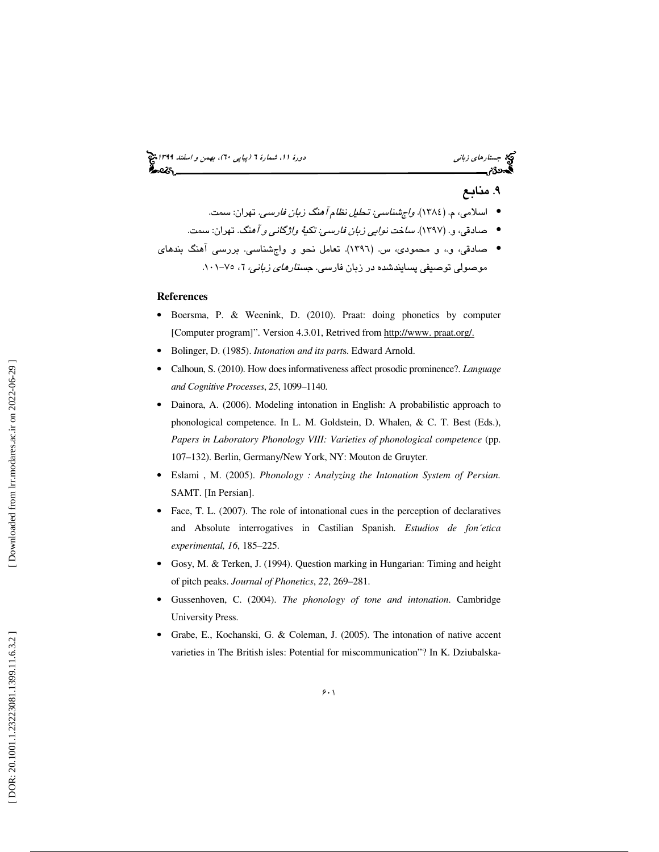## (پياپي 60)، بهمن و اسفند 1399 جستارهاي زباني دورة ،11 شمارة 6

### . 9 منابع

- اسلامي، م. (١٣٨٤). *واجشناسي: تحليل نظام آهنگ زبان فارسي.* تهران: سمت.
- صادقي، و. (١٣٩٧). *ساخت نوايي زبان فارسي: تكيهٔ واژگاني و آه*نگ. تهران: سمت.

صادقي، و،. و محمودي، س. ( 1396). تعامل نحو و واجشناسي. بررسي آهنگ بندهاي • .101 75- ، <sup>6</sup> موصولي توصيفي پسايندشده در زبان فارسي. جستارهاي زباني،

### **References**

- Boersma, P. & Weenink, D. (2010). Praat: doing phonetics by computer [Computer program]". Version 4.3.01, Retrived from http://www. praat.org/.
- Bolinger, D. (1985). *Intonation and its part*s. Edward Arnold.
- Calhoun, S. (2010). How does informativeness affect prosodic prominence?. *Language and Cognitive Processes*, *25*, 1099–1140.
- Dainora, A. (2006). Modeling intonation in English: A probabilistic approach to phonological competence. In L. M. Goldstein, D. Whalen, & C. T. Best (Eds.), *Papers in Laboratory Phonology VIII: Varieties of phonological competence* (pp. 107–132). Berlin, Germany/New York, NY: Mouton de Gruyter.
- Eslami , M. (2005). *Phonology : Analyzing the Intonation System of Persian.* SAMT. [In Persian].
- Face, T. L. (2007). The role of intonational cues in the perception of declaratives and Absolute interrogatives in Castilian Spanish. *Estudios de fon´etica experimental, 16*, 185–225.
- Gosy, M. & Terken, J. (1994). Question marking in Hungarian: Timing and height of pitch peaks. *Journal of Phonetics*, *22*, 269–281.
- Gussenhoven, C. (2004). *The phonology of tone and intonation*. Cambridge University Press.
- Grabe, E., Kochanski, G. & Coleman, J. (2005). The intonation of native accent varieties in The British isles: Potential for miscommunication"? In K. Dziubalska-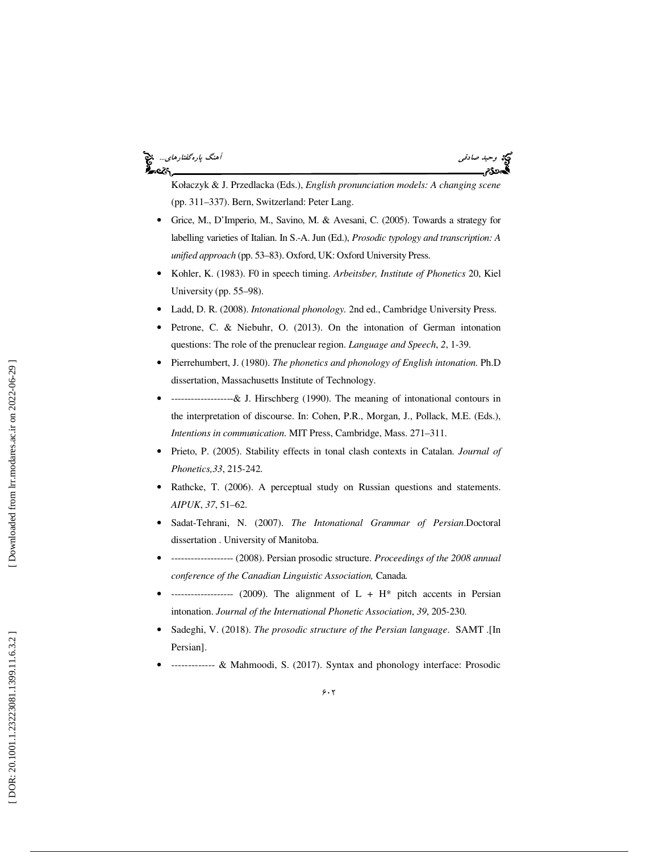### وسيد صادقي آهنگ پارهگفتارهاي...<br>آهنگ پارهگفتارهاي... ેન્વ્ટર



Kołaczyk & J. Przedlacka (Eds.), *English pronunciation models: A changing scene*  (pp. 311–337). Bern, Switzerland: Peter Lang.

- Grice, M., D'Imperio, M., Savino, M. & Avesani, C. (2005). Towards a strategy for labelling varieties of Italian. In S.-A. Jun (Ed.), *Prosodic typology and transcription: A unified approach* (pp. 53–83). Oxford, UK: Oxford University Press.
- Kohler, K. (1983). F0 in speech timing. *Arbeitsber, Institute of Phonetics* 20, Kiel University (pp. 55–98).
- Ladd, D. R. (2008). *Intonational phonology.* 2nd ed., Cambridge University Press.
- Petrone, C. & Niebuhr, O. (2013). On the intonation of German intonation questions: The role of the prenuclear region. *Language and Speech*, *2*, 1-39.
- Pierrehumbert, J. (1980). *The phonetics and phonology of English intonation.* Ph.D dissertation, Massachusetts Institute of Technology.
- -------------------& J. Hirschberg (1990). The meaning of intonational contours in the interpretation of discourse. In: Cohen, P.R., Morgan, J., Pollack, M.E. (Eds.), *Intentions in communication*. MIT Press, Cambridge, Mass. 271–311.
- Prieto, P. (2005). Stability effects in tonal clash contexts in Catalan. *Journal of Phonetics,33*, 215-242.
- Rathcke, T. (2006). A perceptual study on Russian questions and statements. *AIPUK*, *37*, 51–62.
- Sadat-Tehrani, N. (2007). *The Intonational Grammar of Persian*.Doctoral dissertation . University of Manitoba.
- ------------------- (2008). Persian prosodic structure. *Proceedings of the 2008 annual conference of the Canadian Linguistic Association,* Canada*.*
- ------------------ (2009). The alignment of  $L + H^*$  pitch accents in Persian intonation. *Journal of the International Phonetic Association*, *39*, 205-230.
- Sadeghi, V. (2018). *The prosodic structure of the Persian language*. SAMT .[In Persian].
- ------------- & Mahmoodi, S. (2017). Syntax and phonology interface: Prosodic

Downloaded from lrr.modares.ac.ir on 2022-06-29